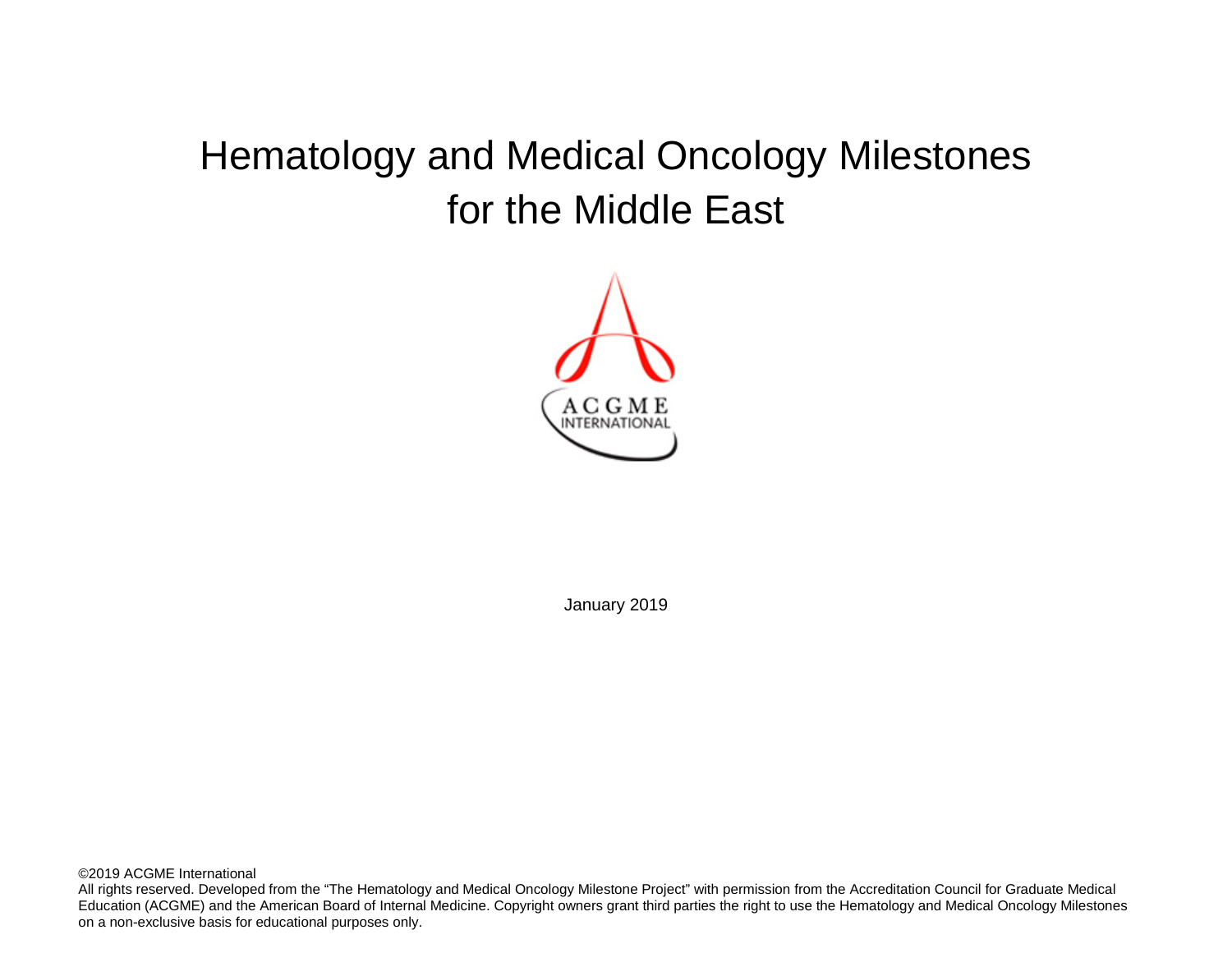# Hematology and Medical Oncology Milestones for the Middle East



January 2019

©2019 ACGME International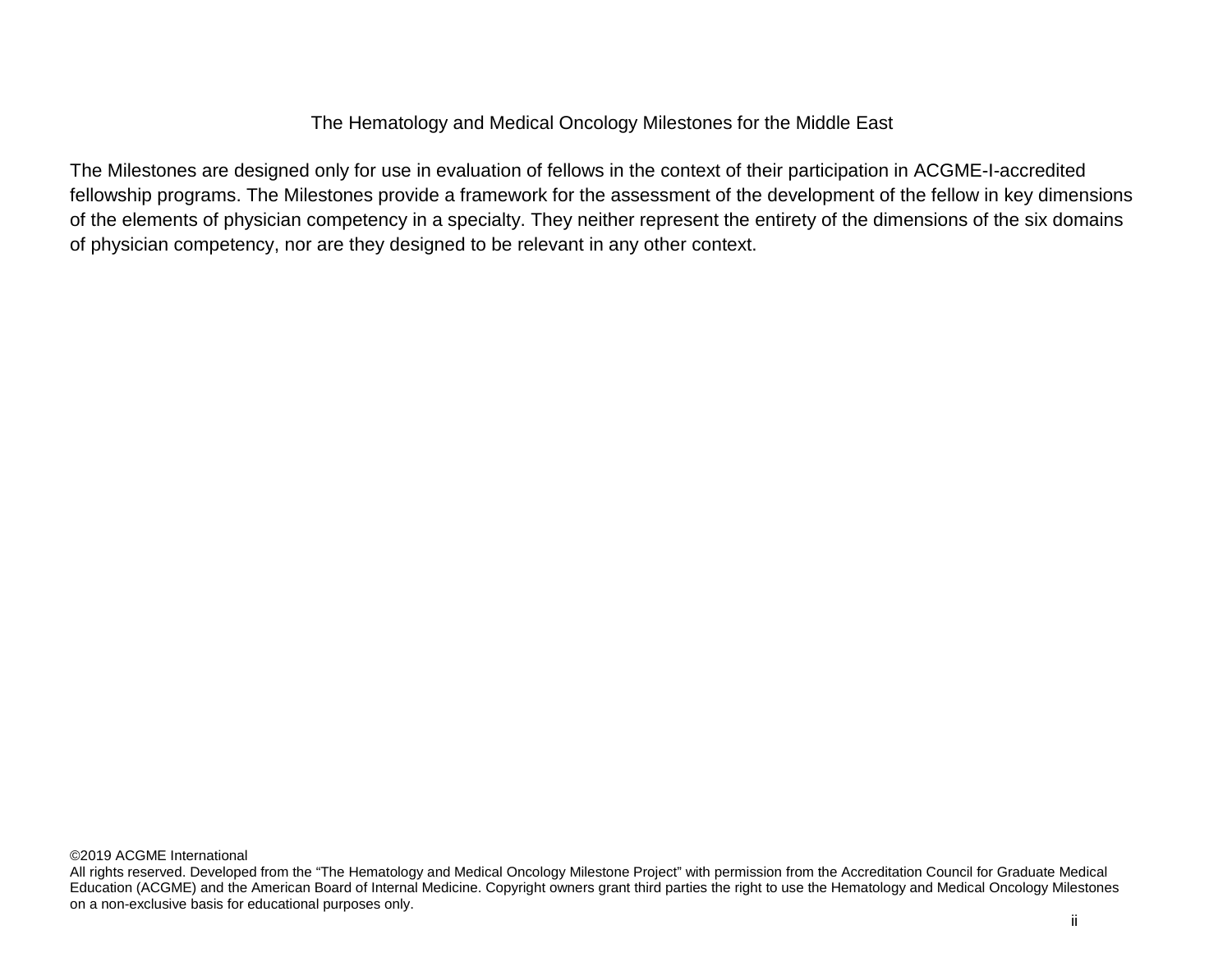# The Hematology and Medical Oncology Milestones for the Middle East

The Milestones are designed only for use in evaluation of fellows in the context of their participation in ACGME-I-accredited fellowship programs. The Milestones provide a framework for the assessment of the development of the fellow in key dimensions of the elements of physician competency in a specialty. They neither represent the entirety of the dimensions of the six domains of physician competency, nor are they designed to be relevant in any other context.

All rights reserved. Developed from the "The Hematology and Medical Oncology Milestone Project" with permission from the Accreditation Council for Graduate Medical Education (ACGME) and the American Board of Internal Medicine. Copyright owners grant third parties the right to use the Hematology and Medical Oncology Milestones on a non-exclusive basis for educational purposes only.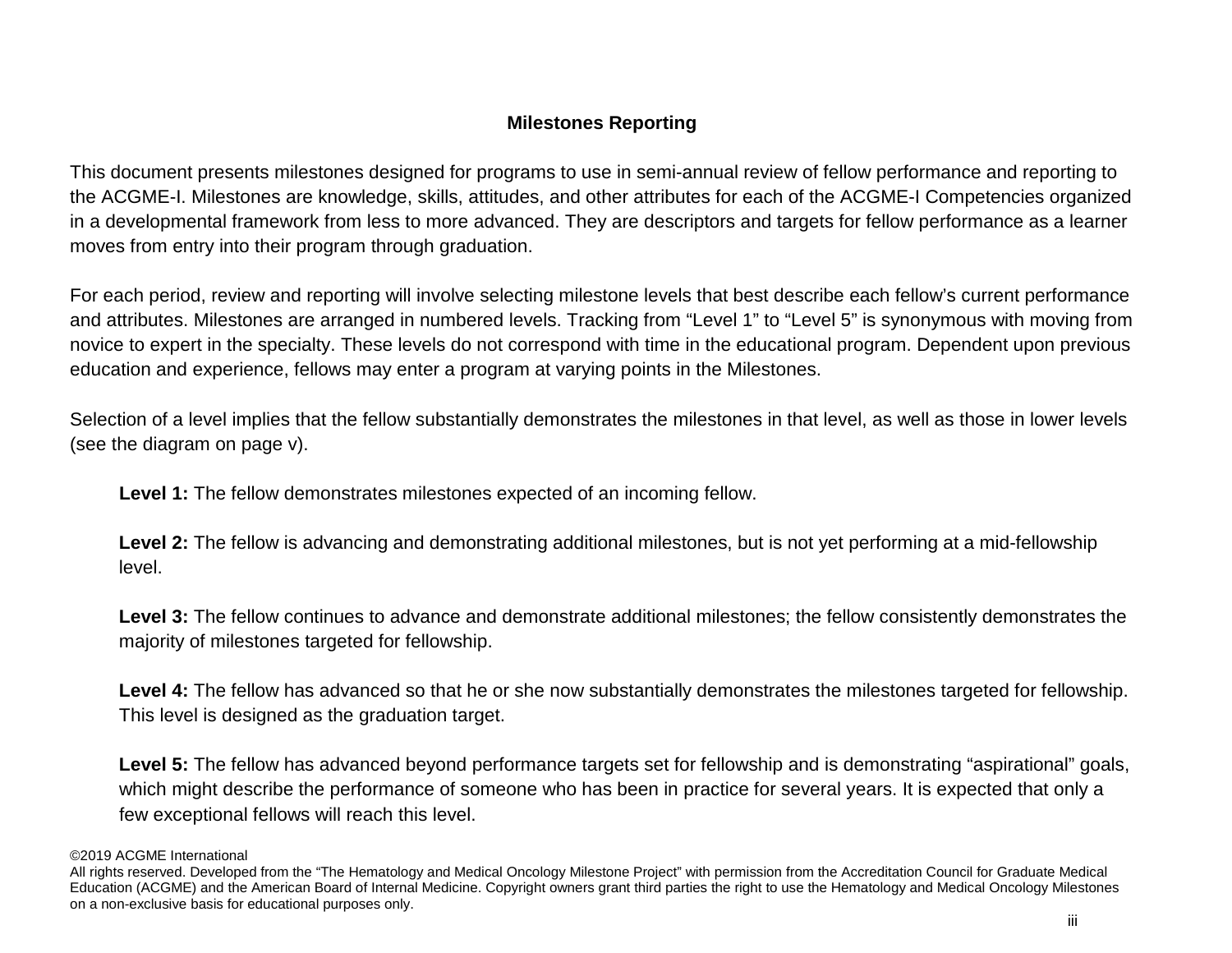# **Milestones Reporting**

This document presents milestones designed for programs to use in semi-annual review of fellow performance and reporting to the ACGME-I. Milestones are knowledge, skills, attitudes, and other attributes for each of the ACGME-I Competencies organized in a developmental framework from less to more advanced. They are descriptors and targets for fellow performance as a learner moves from entry into their program through graduation.

For each period, review and reporting will involve selecting milestone levels that best describe each fellow's current performance and attributes. Milestones are arranged in numbered levels. Tracking from "Level 1" to "Level 5" is synonymous with moving from novice to expert in the specialty. These levels do not correspond with time in the educational program. Dependent upon previous education and experience, fellows may enter a program at varying points in the Milestones.

Selection of a level implies that the fellow substantially demonstrates the milestones in that level, as well as those in lower levels (see the diagram on page v).

**Level 1:** The fellow demonstrates milestones expected of an incoming fellow.

Level 2: The fellow is advancing and demonstrating additional milestones, but is not yet performing at a mid-fellowship level.

**Level 3:** The fellow continues to advance and demonstrate additional milestones; the fellow consistently demonstrates the majority of milestones targeted for fellowship.

Level 4: The fellow has advanced so that he or she now substantially demonstrates the milestones targeted for fellowship. This level is designed as the graduation target.

Level 5: The fellow has advanced beyond performance targets set for fellowship and is demonstrating "aspirational" goals, which might describe the performance of someone who has been in practice for several years. It is expected that only a few exceptional fellows will reach this level.

<sup>©2019</sup> ACGME International

All rights reserved. Developed from the "The Hematology and Medical Oncology Milestone Project" with permission from the Accreditation Council for Graduate Medical Education (ACGME) and the American Board of Internal Medicine. Copyright owners grant third parties the right to use the Hematology and Medical Oncology Milestones on a non-exclusive basis for educational purposes only.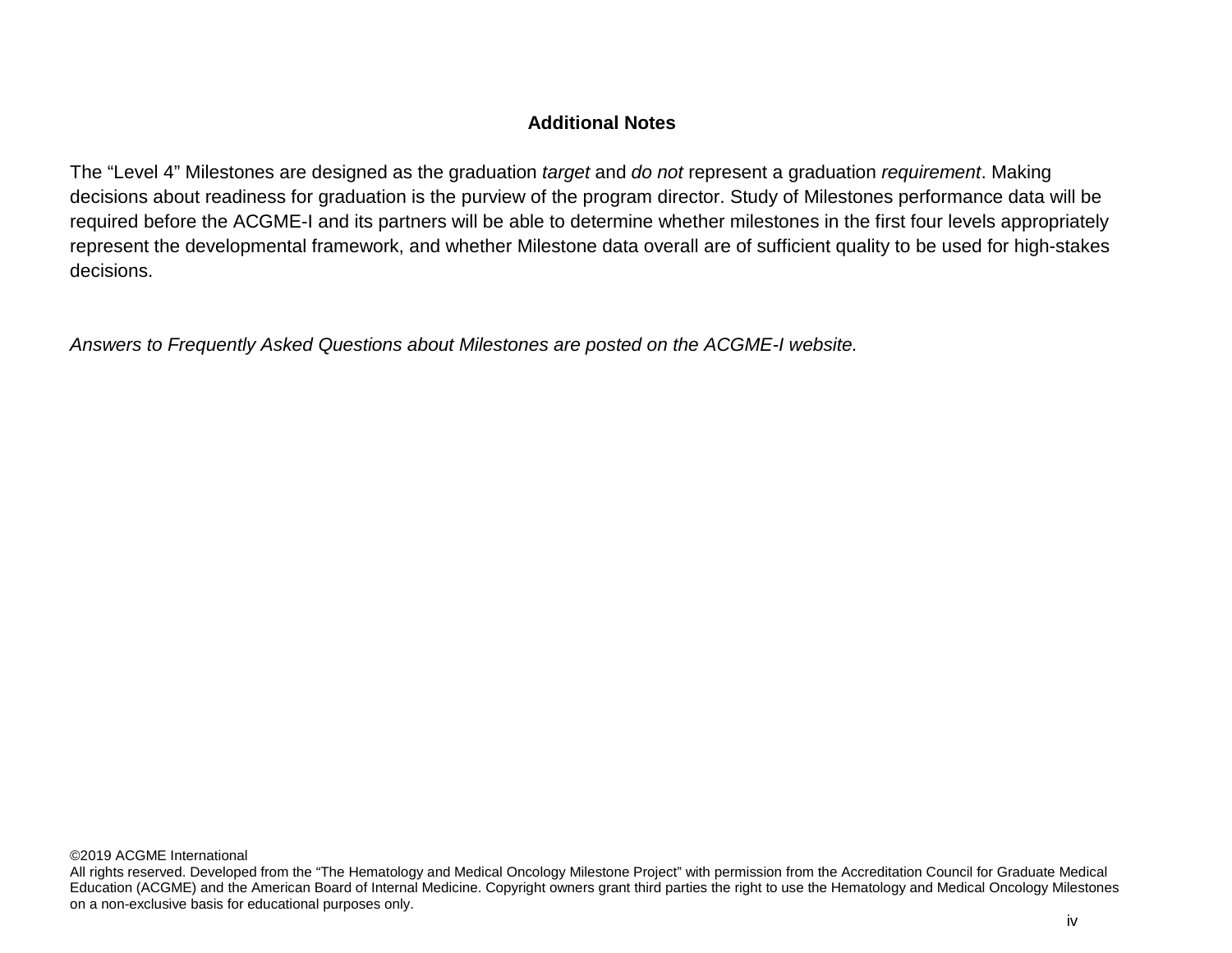# **Additional Notes**

The "Level 4" Milestones are designed as the graduation *target* and *do not* represent a graduation *requirement*. Making decisions about readiness for graduation is the purview of the program director. Study of Milestones performance data will be required before the ACGME-I and its partners will be able to determine whether milestones in the first four levels appropriately represent the developmental framework, and whether Milestone data overall are of sufficient quality to be used for high-stakes decisions.

*Answers to Frequently Asked Questions about Milestones are posted on the ACGME-I website.*

All rights reserved. Developed from the "The Hematology and Medical Oncology Milestone Project" with permission from the Accreditation Council for Graduate Medical Education (ACGME) and the American Board of Internal Medicine. Copyright owners grant third parties the right to use the Hematology and Medical Oncology Milestones on a non-exclusive basis for educational purposes only.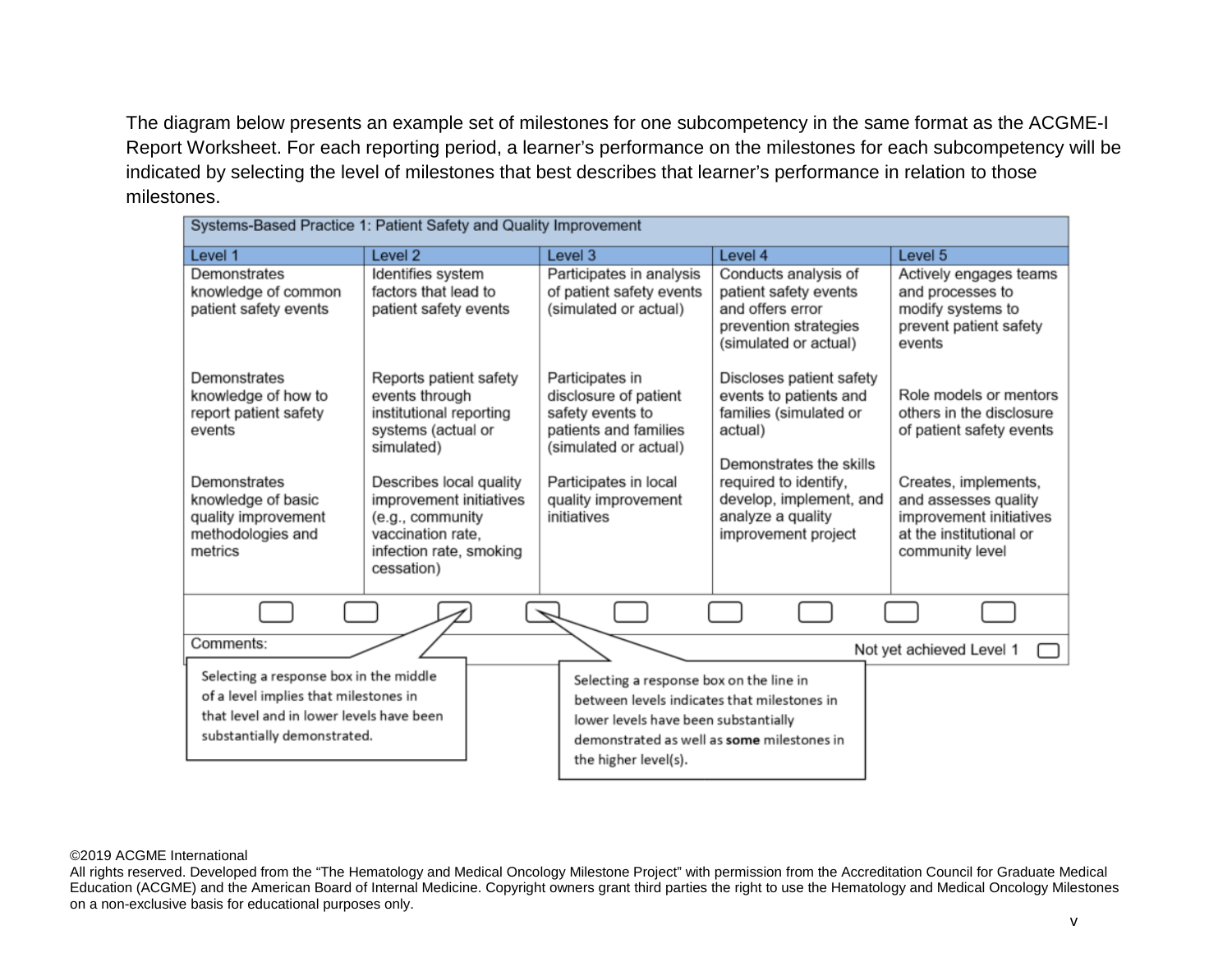The diagram below presents an example set of milestones for one subcompetency in the same format as the ACGME-I Report Worksheet. For each reporting period, a learner's performance on the milestones for each subcompetency will be indicated by selecting the level of milestones that best describes that learner's performance in relation to those milestones.

| Systems-Based Practice 1: Patient Safety and Quality Improvement |                                                    |                                                   |                                                  |                                                    |  |
|------------------------------------------------------------------|----------------------------------------------------|---------------------------------------------------|--------------------------------------------------|----------------------------------------------------|--|
| Level 1                                                          | Level <sub>2</sub>                                 | Level 3                                           | Level 4                                          | Level 5                                            |  |
| Demonstrates                                                     | Identifies system                                  | Participates in analysis                          | Conducts analysis of                             | Actively engages teams                             |  |
| knowledge of common<br>patient safety events                     | factors that lead to<br>patient safety events      | of patient safety events<br>(simulated or actual) | patient safety events<br>and offers error        | and processes to<br>modify systems to              |  |
|                                                                  |                                                    |                                                   | prevention strategies<br>(simulated or actual)   | prevent patient safety<br>events                   |  |
| Demonstrates                                                     | Reports patient safety                             | Participates in                                   | Discloses patient safety                         |                                                    |  |
| knowledge of how to<br>report patient safety                     | events through<br>institutional reporting          | disclosure of patient<br>safety events to         | events to patients and<br>families (simulated or | Role models or mentors<br>others in the disclosure |  |
| events                                                           | systems (actual or<br>simulated)                   | patients and families<br>(simulated or actual)    | actual)                                          | of patient safety events                           |  |
|                                                                  |                                                    |                                                   | Demonstrates the skills                          |                                                    |  |
| Demonstrates<br>knowledge of basic                               | Describes local quality<br>improvement initiatives | Participates in local<br>quality improvement      | required to identify,<br>develop, implement, and | Creates, implements,<br>and assesses quality       |  |
| quality improvement<br>methodologies and                         | (e.g., community<br>vaccination rate,              | initiatives                                       | analyze a quality<br>improvement project         | improvement initiatives<br>at the institutional or |  |
| metrics                                                          | infection rate, smoking                            |                                                   |                                                  | community level                                    |  |
|                                                                  | cessation)                                         |                                                   |                                                  |                                                    |  |
|                                                                  |                                                    |                                                   |                                                  |                                                    |  |
| Comments:                                                        |                                                    |                                                   |                                                  | Not yet achieved Level 1                           |  |
| Selecting a response box in the middle                           |                                                    | Selecting a response box on the line in           |                                                  |                                                    |  |
| of a level implies that milestones in                            |                                                    | between levels indicates that milestones in       |                                                  |                                                    |  |
| that level and in lower levels have been                         |                                                    | lower levels have been substantially              |                                                  |                                                    |  |
| substantially demonstrated.                                      |                                                    | demonstrated as well as some milestones in        |                                                  |                                                    |  |
|                                                                  |                                                    | the higher level(s).                              |                                                  |                                                    |  |

### ©2019 ACGME International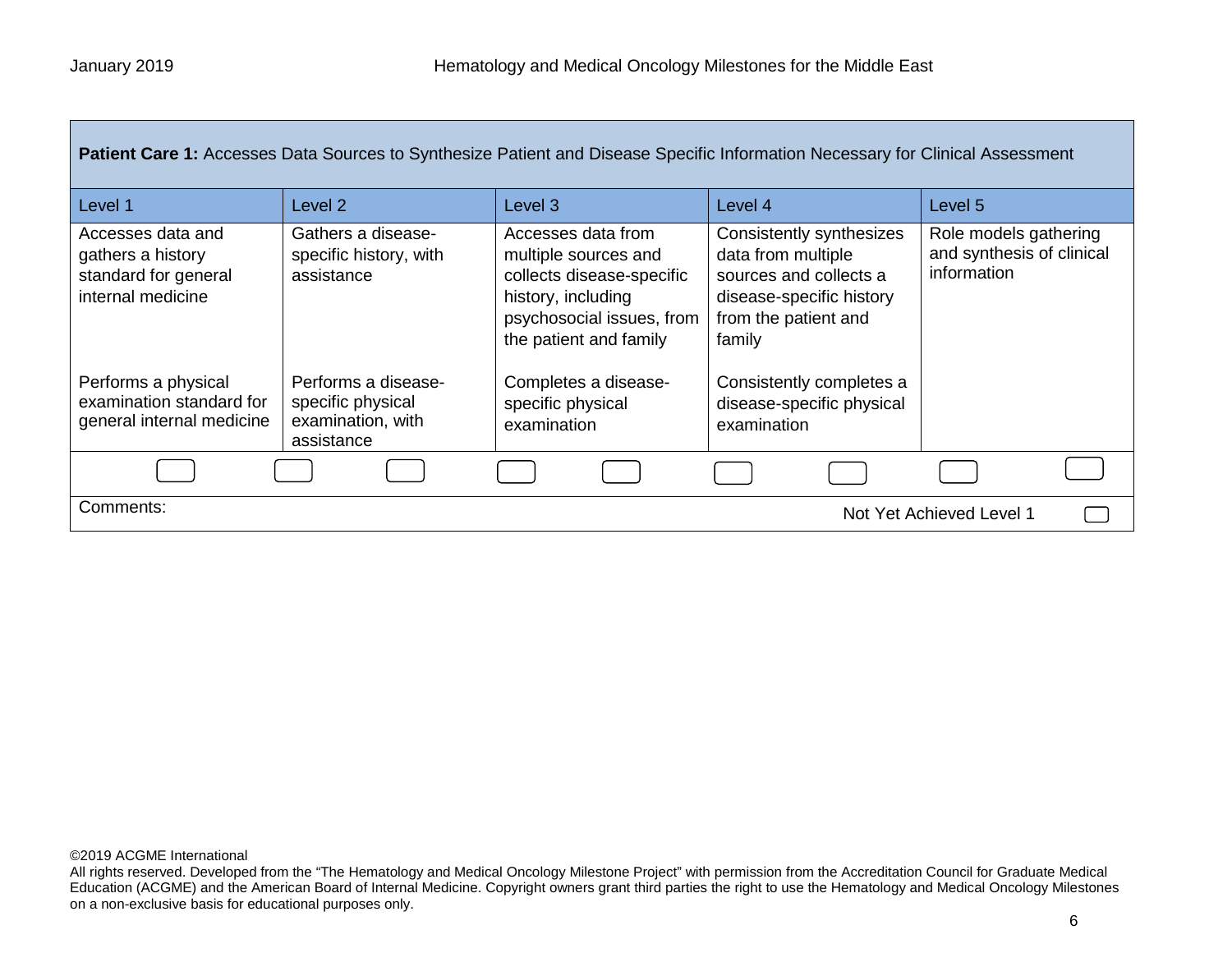| Patient Care 1: Accesses Data Sources to Synthesize Patient and Disease Specific Information Necessary for Clinical Assessment                                      |                                                                                                                             |                                                                                                                                                                                                                  |                                                                                                                                                                                                                |                                                                   |  |
|---------------------------------------------------------------------------------------------------------------------------------------------------------------------|-----------------------------------------------------------------------------------------------------------------------------|------------------------------------------------------------------------------------------------------------------------------------------------------------------------------------------------------------------|----------------------------------------------------------------------------------------------------------------------------------------------------------------------------------------------------------------|-------------------------------------------------------------------|--|
| Level 1                                                                                                                                                             | Level 2                                                                                                                     | Level <sub>3</sub>                                                                                                                                                                                               | Level 4                                                                                                                                                                                                        | Level 5                                                           |  |
| Accesses data and<br>gathers a history<br>standard for general<br>internal medicine<br>Performs a physical<br>examination standard for<br>general internal medicine | Gathers a disease-<br>specific history, with<br>assistance<br>Performs a disease-<br>specific physical<br>examination, with | Accesses data from<br>multiple sources and<br>collects disease-specific<br>history, including<br>psychosocial issues, from<br>the patient and family<br>Completes a disease-<br>specific physical<br>examination | Consistently synthesizes<br>data from multiple<br>sources and collects a<br>disease-specific history<br>from the patient and<br>family<br>Consistently completes a<br>disease-specific physical<br>examination | Role models gathering<br>and synthesis of clinical<br>information |  |
|                                                                                                                                                                     | assistance                                                                                                                  |                                                                                                                                                                                                                  |                                                                                                                                                                                                                |                                                                   |  |
|                                                                                                                                                                     |                                                                                                                             |                                                                                                                                                                                                                  |                                                                                                                                                                                                                |                                                                   |  |
| Comments:                                                                                                                                                           | Not Yet Achieved Level 1                                                                                                    |                                                                                                                                                                                                                  |                                                                                                                                                                                                                |                                                                   |  |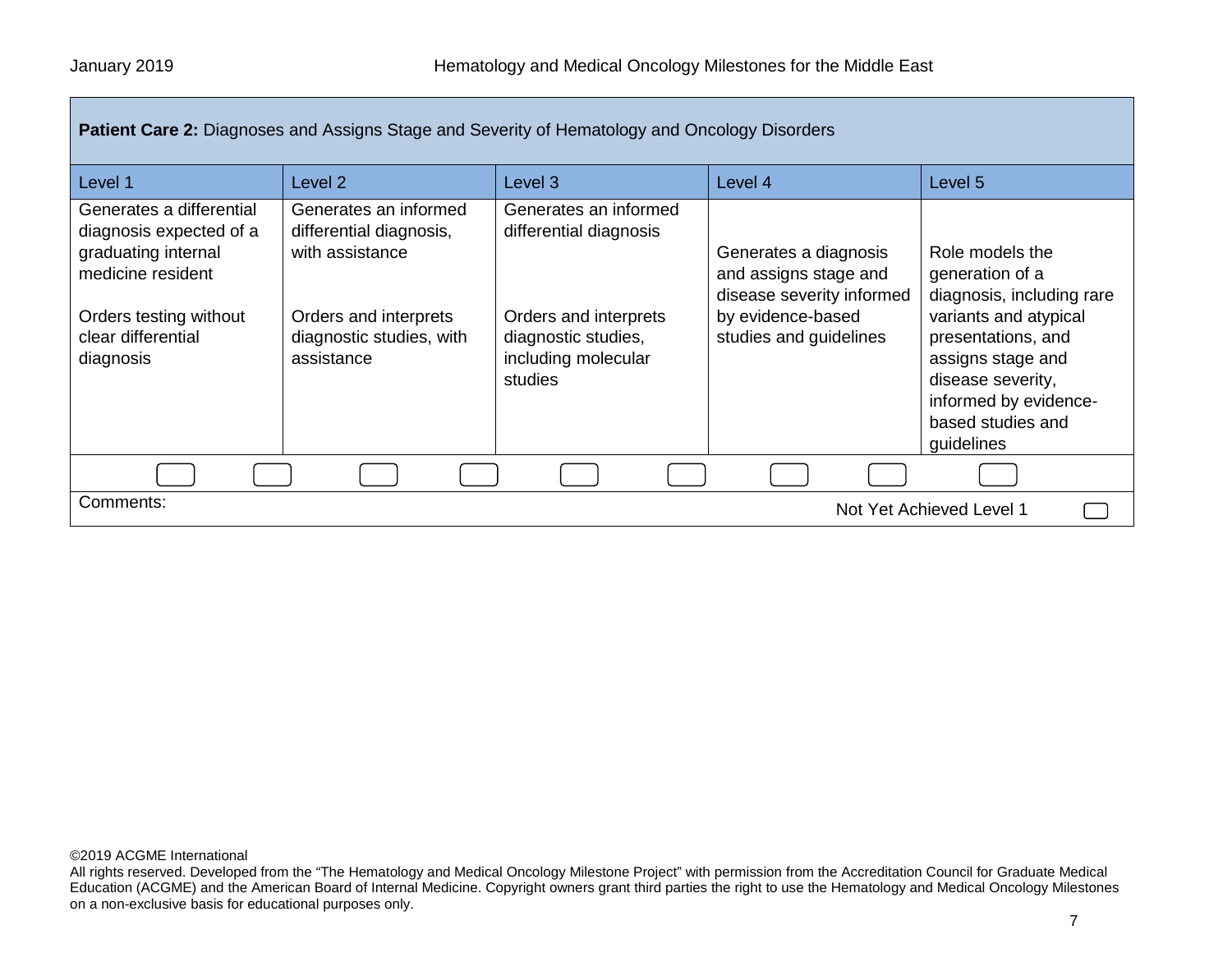| <b>Patient Care 2:</b> Diagnoses and Assigns Stage and Severity of Hematology and Oncology Disorders                                                         |                                                                                                                                        |                                                                                                                                   |                                                                                                                            |                                                                                                                                                                                                                      |
|--------------------------------------------------------------------------------------------------------------------------------------------------------------|----------------------------------------------------------------------------------------------------------------------------------------|-----------------------------------------------------------------------------------------------------------------------------------|----------------------------------------------------------------------------------------------------------------------------|----------------------------------------------------------------------------------------------------------------------------------------------------------------------------------------------------------------------|
| Level 1                                                                                                                                                      | Level 2                                                                                                                                | Level <sub>3</sub>                                                                                                                | Level 4                                                                                                                    | Level 5                                                                                                                                                                                                              |
| Generates a differential<br>diagnosis expected of a<br>graduating internal<br>medicine resident<br>Orders testing without<br>clear differential<br>diagnosis | Generates an informed<br>differential diagnosis,<br>with assistance<br>Orders and interprets<br>diagnostic studies, with<br>assistance | Generates an informed<br>differential diagnosis<br>Orders and interprets<br>diagnostic studies,<br>including molecular<br>studies | Generates a diagnosis<br>and assigns stage and<br>disease severity informed<br>by evidence-based<br>studies and guidelines | Role models the<br>generation of a<br>diagnosis, including rare<br>variants and atypical<br>presentations, and<br>assigns stage and<br>disease severity,<br>informed by evidence-<br>based studies and<br>guidelines |
|                                                                                                                                                              |                                                                                                                                        |                                                                                                                                   |                                                                                                                            |                                                                                                                                                                                                                      |
| Comments:<br>Not Yet Achieved Level 1                                                                                                                        |                                                                                                                                        |                                                                                                                                   |                                                                                                                            |                                                                                                                                                                                                                      |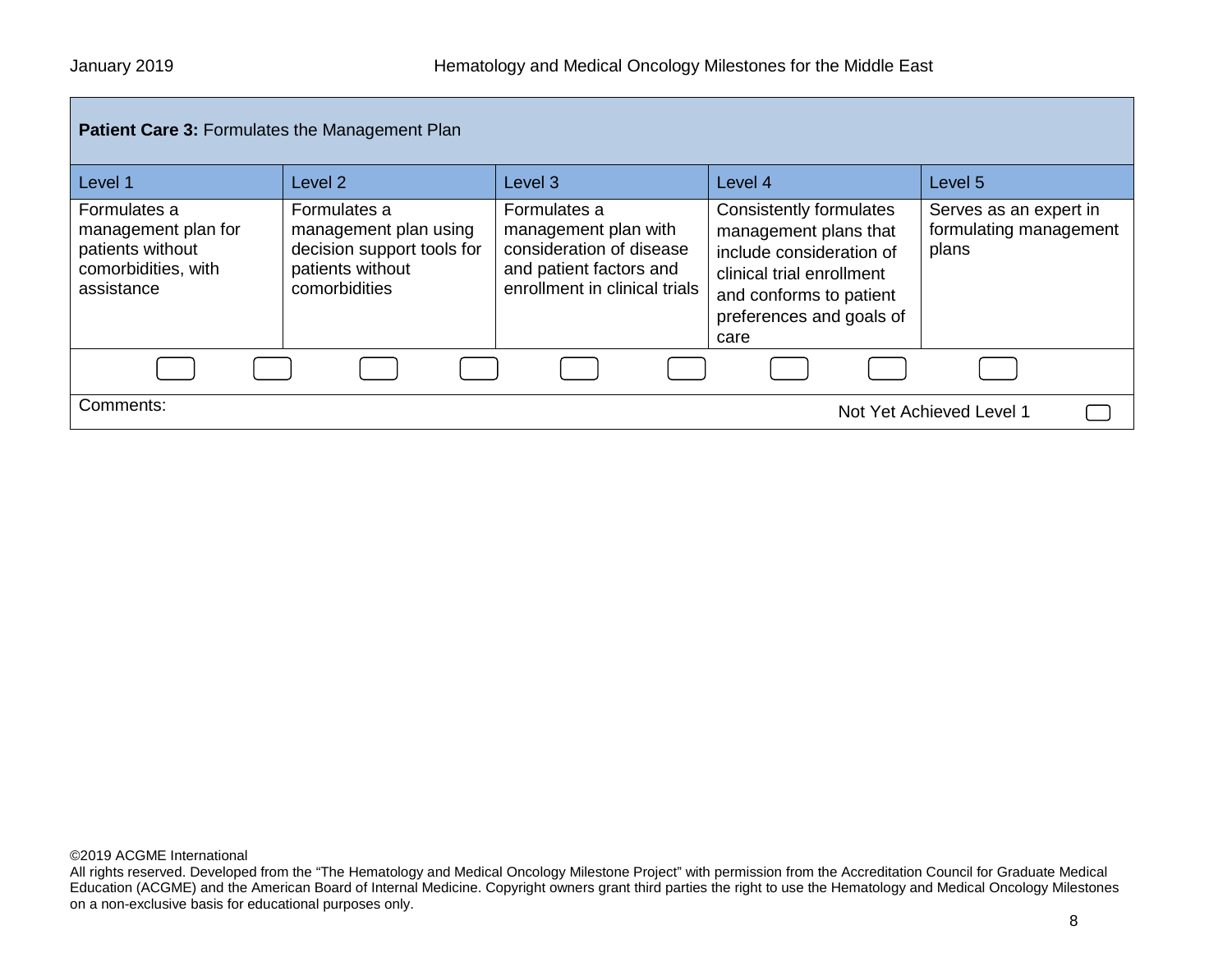| <b>Patient Care 3: Formulates the Management Plan</b>                                        |                                                                                                          |                                                                                                                              |                                                                                                                                                                          |                                                           |
|----------------------------------------------------------------------------------------------|----------------------------------------------------------------------------------------------------------|------------------------------------------------------------------------------------------------------------------------------|--------------------------------------------------------------------------------------------------------------------------------------------------------------------------|-----------------------------------------------------------|
| Level 1                                                                                      | Level <sub>2</sub>                                                                                       | Level 3                                                                                                                      | Level 4                                                                                                                                                                  | Level 5                                                   |
| Formulates a<br>management plan for<br>patients without<br>comorbidities, with<br>assistance | Formulates a<br>management plan using<br>decision support tools for<br>patients without<br>comorbidities | Formulates a<br>management plan with<br>consideration of disease<br>and patient factors and<br>enrollment in clinical trials | Consistently formulates<br>management plans that<br>include consideration of<br>clinical trial enrollment<br>and conforms to patient<br>preferences and goals of<br>care | Serves as an expert in<br>formulating management<br>plans |
|                                                                                              |                                                                                                          |                                                                                                                              |                                                                                                                                                                          |                                                           |
| Comments:                                                                                    |                                                                                                          |                                                                                                                              |                                                                                                                                                                          | Not Yet Achieved Level 1                                  |

All rights reserved. Developed from the "The Hematology and Medical Oncology Milestone Project" with permission from the Accreditation Council for Graduate Medical Education (ACGME) and the American Board of Internal Medicine. Copyright owners grant third parties the right to use the Hematology and Medical Oncology Milestones on a non-exclusive basis for educational purposes only.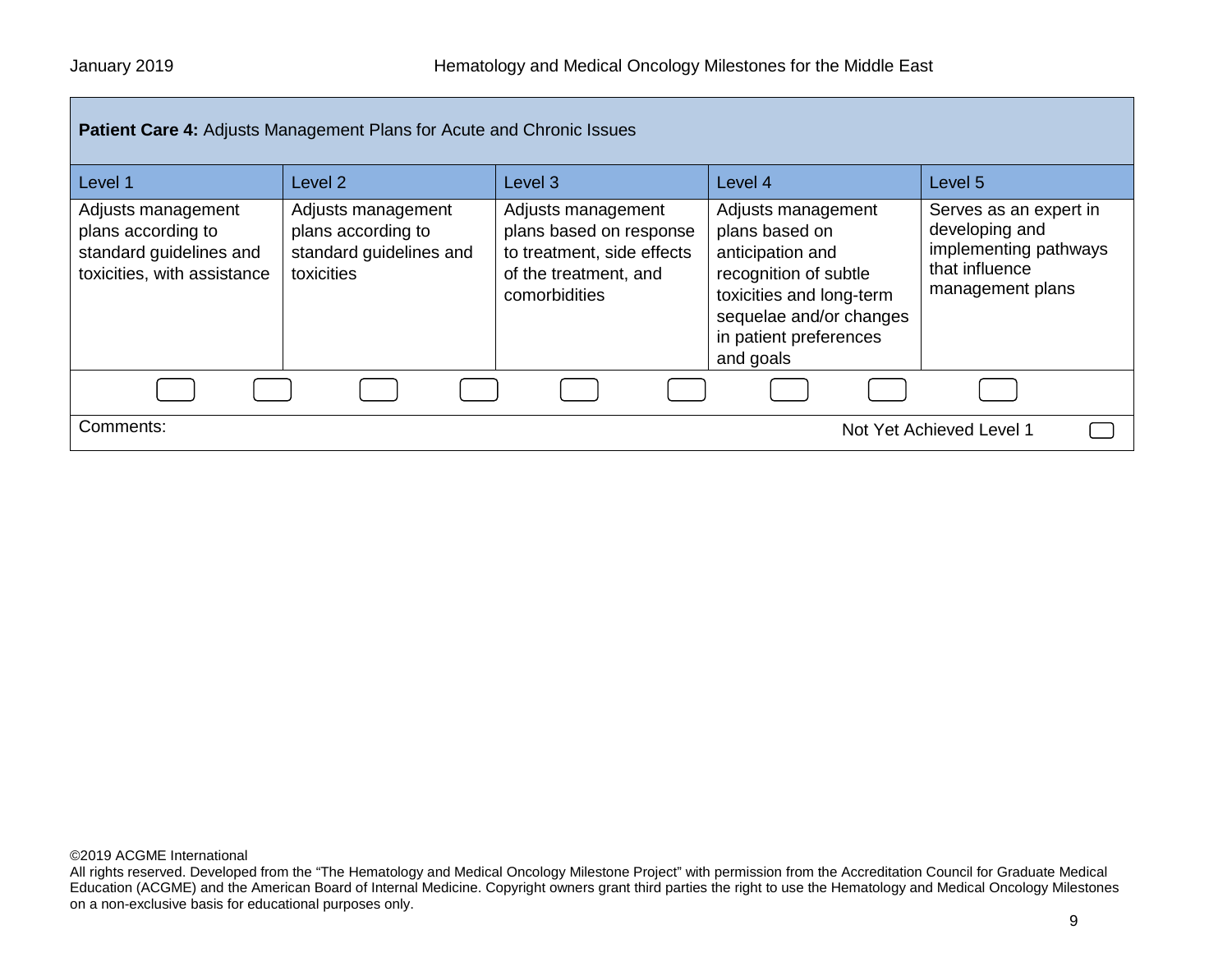| <b>Patient Care 4: Adjusts Management Plans for Acute and Chronic Issues</b>                       |                                                                                   |                                                                                                                       |                                                                                                                                                                                 |                                                                                                         |
|----------------------------------------------------------------------------------------------------|-----------------------------------------------------------------------------------|-----------------------------------------------------------------------------------------------------------------------|---------------------------------------------------------------------------------------------------------------------------------------------------------------------------------|---------------------------------------------------------------------------------------------------------|
| Level 1                                                                                            | Level 2                                                                           | Level <sub>3</sub>                                                                                                    | Level 4                                                                                                                                                                         | Level 5                                                                                                 |
| Adjusts management<br>plans according to<br>standard guidelines and<br>toxicities, with assistance | Adjusts management<br>plans according to<br>standard guidelines and<br>toxicities | Adjusts management<br>plans based on response<br>to treatment, side effects<br>of the treatment, and<br>comorbidities | Adjusts management<br>plans based on<br>anticipation and<br>recognition of subtle<br>toxicities and long-term<br>sequelae and/or changes<br>in patient preferences<br>and goals | Serves as an expert in<br>developing and<br>implementing pathways<br>that influence<br>management plans |
|                                                                                                    |                                                                                   |                                                                                                                       |                                                                                                                                                                                 |                                                                                                         |
| Comments:                                                                                          | Not Yet Achieved Level 1                                                          |                                                                                                                       |                                                                                                                                                                                 |                                                                                                         |

All rights reserved. Developed from the "The Hematology and Medical Oncology Milestone Project" with permission from the Accreditation Council for Graduate Medical Education (ACGME) and the American Board of Internal Medicine. Copyright owners grant third parties the right to use the Hematology and Medical Oncology Milestones on a non-exclusive basis for educational purposes only.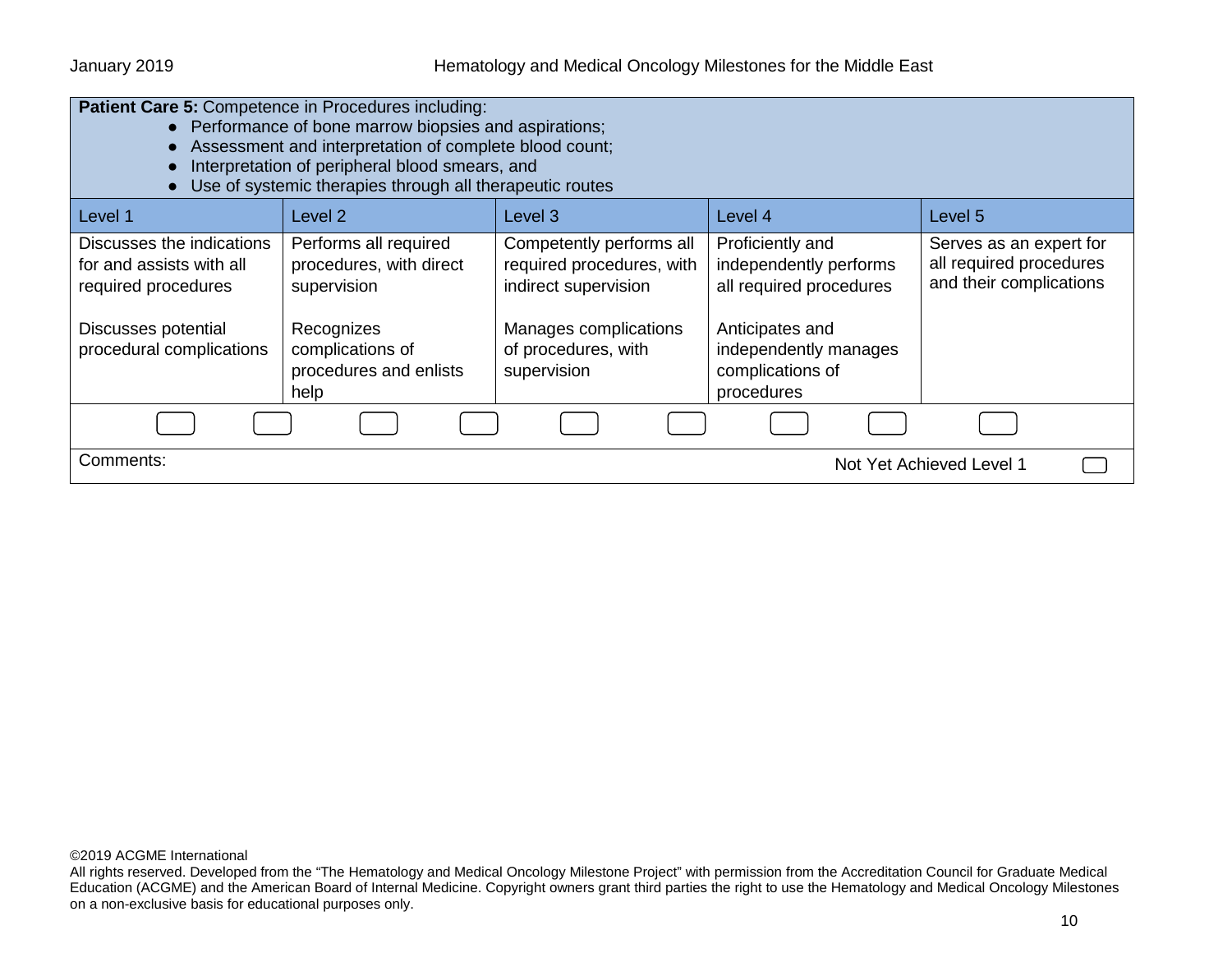| <b>Patient Care 5: Competence in Procedures including:</b><br>• Performance of bone marrow biopsies and aspirations;<br>Assessment and interpretation of complete blood count;<br>$\bullet$<br>Interpretation of peripheral blood smears, and<br>Use of systemic therapies through all therapeutic routes |                                                                                                                                     |                                                                                                                                              |                                                                                                                                                     |                                                                               |
|-----------------------------------------------------------------------------------------------------------------------------------------------------------------------------------------------------------------------------------------------------------------------------------------------------------|-------------------------------------------------------------------------------------------------------------------------------------|----------------------------------------------------------------------------------------------------------------------------------------------|-----------------------------------------------------------------------------------------------------------------------------------------------------|-------------------------------------------------------------------------------|
| Level 1                                                                                                                                                                                                                                                                                                   | Level 2                                                                                                                             | Level 3                                                                                                                                      | Level 4                                                                                                                                             | Level 5                                                                       |
| Discusses the indications<br>for and assists with all<br>required procedures<br>Discusses potential<br>procedural complications                                                                                                                                                                           | Performs all required<br>procedures, with direct<br>supervision<br>Recognizes<br>complications of<br>procedures and enlists<br>help | Competently performs all<br>required procedures, with<br>indirect supervision<br>Manages complications<br>of procedures, with<br>supervision | Proficiently and<br>independently performs<br>all required procedures<br>Anticipates and<br>independently manages<br>complications of<br>procedures | Serves as an expert for<br>all required procedures<br>and their complications |
|                                                                                                                                                                                                                                                                                                           |                                                                                                                                     |                                                                                                                                              |                                                                                                                                                     |                                                                               |
| Comments:                                                                                                                                                                                                                                                                                                 |                                                                                                                                     |                                                                                                                                              |                                                                                                                                                     | Not Yet Achieved Level 1                                                      |

All rights reserved. Developed from the "The Hematology and Medical Oncology Milestone Project" with permission from the Accreditation Council for Graduate Medical Education (ACGME) and the American Board of Internal Medicine. Copyright owners grant third parties the right to use the Hematology and Medical Oncology Milestones on a non-exclusive basis for educational purposes only.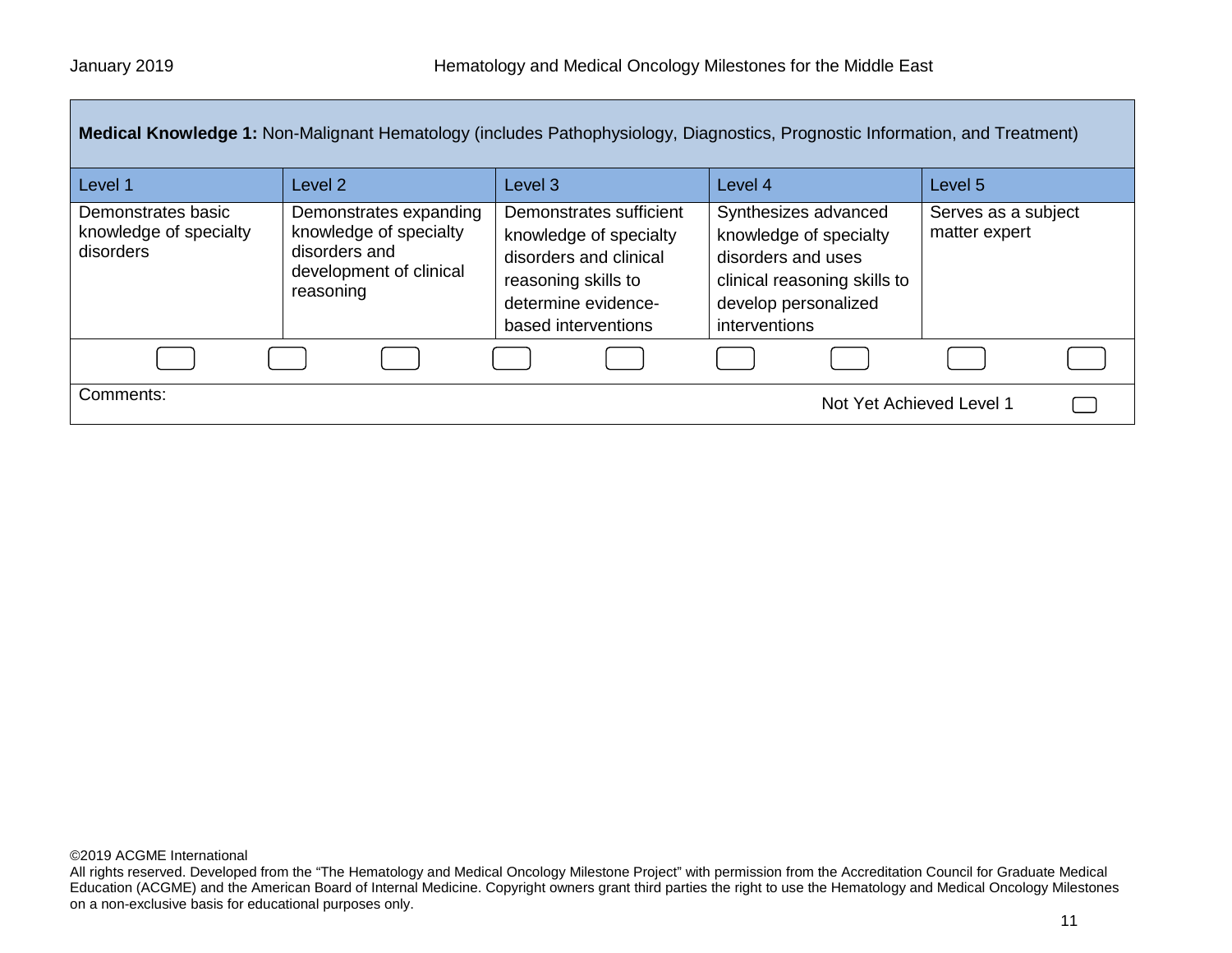| Medical Knowledge 1: Non-Malignant Hematology (includes Pathophysiology, Diagnostics, Prognostic Information, and Treatment) |                                                                                                           |                                                                                                                                                  |                                                                                                                                               |                                      |
|------------------------------------------------------------------------------------------------------------------------------|-----------------------------------------------------------------------------------------------------------|--------------------------------------------------------------------------------------------------------------------------------------------------|-----------------------------------------------------------------------------------------------------------------------------------------------|--------------------------------------|
| Level 1                                                                                                                      | Level <sub>2</sub>                                                                                        | Level 3                                                                                                                                          | Level 4                                                                                                                                       | Level 5                              |
| Demonstrates basic<br>knowledge of specialty<br>disorders                                                                    | Demonstrates expanding<br>knowledge of specialty<br>disorders and<br>development of clinical<br>reasoning | Demonstrates sufficient<br>knowledge of specialty<br>disorders and clinical<br>reasoning skills to<br>determine evidence-<br>based interventions | Synthesizes advanced<br>knowledge of specialty<br>disorders and uses<br>clinical reasoning skills to<br>develop personalized<br>interventions | Serves as a subject<br>matter expert |
|                                                                                                                              |                                                                                                           |                                                                                                                                                  |                                                                                                                                               |                                      |
| Comments:<br>Not Yet Achieved Level 1                                                                                        |                                                                                                           |                                                                                                                                                  |                                                                                                                                               |                                      |

All rights reserved. Developed from the "The Hematology and Medical Oncology Milestone Project" with permission from the Accreditation Council for Graduate Medical Education (ACGME) and the American Board of Internal Medicine. Copyright owners grant third parties the right to use the Hematology and Medical Oncology Milestones on a non-exclusive basis for educational purposes only.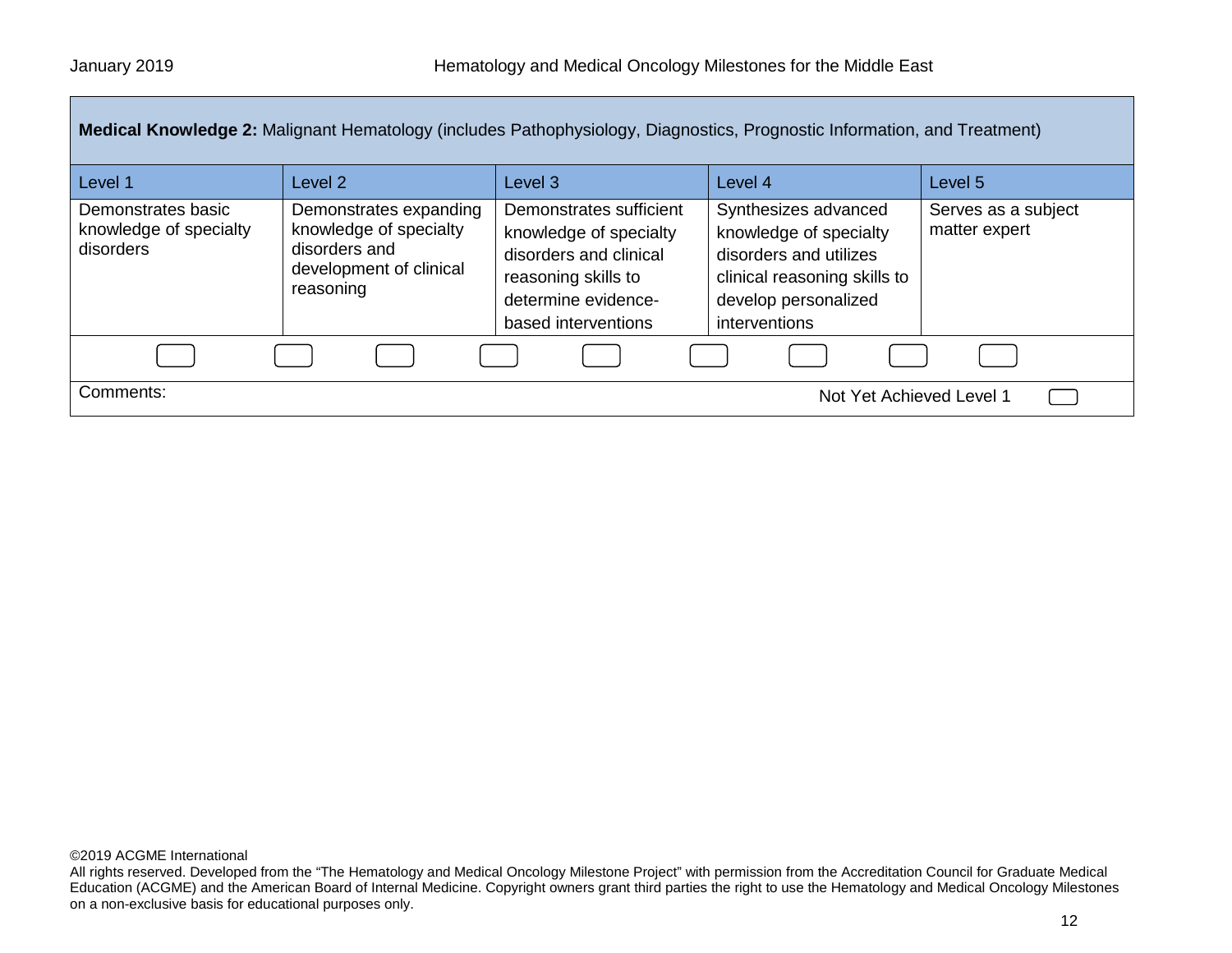| Medical Knowledge 2: Malignant Hematology (includes Pathophysiology, Diagnostics, Prognostic Information, and Treatment) |                                                                                                           |                                                                                                                                                  |                                                                                                                                                   |                                      |  |
|--------------------------------------------------------------------------------------------------------------------------|-----------------------------------------------------------------------------------------------------------|--------------------------------------------------------------------------------------------------------------------------------------------------|---------------------------------------------------------------------------------------------------------------------------------------------------|--------------------------------------|--|
| Level 1                                                                                                                  | Level 2                                                                                                   | Level <sub>3</sub>                                                                                                                               | Level 4                                                                                                                                           | Level <sub>5</sub>                   |  |
| Demonstrates basic<br>knowledge of specialty<br>disorders                                                                | Demonstrates expanding<br>knowledge of specialty<br>disorders and<br>development of clinical<br>reasoning | Demonstrates sufficient<br>knowledge of specialty<br>disorders and clinical<br>reasoning skills to<br>determine evidence-<br>based interventions | Synthesizes advanced<br>knowledge of specialty<br>disorders and utilizes<br>clinical reasoning skills to<br>develop personalized<br>interventions | Serves as a subject<br>matter expert |  |
|                                                                                                                          |                                                                                                           |                                                                                                                                                  |                                                                                                                                                   |                                      |  |
| Comments:                                                                                                                | Not Yet Achieved Level 1                                                                                  |                                                                                                                                                  |                                                                                                                                                   |                                      |  |

All rights reserved. Developed from the "The Hematology and Medical Oncology Milestone Project" with permission from the Accreditation Council for Graduate Medical Education (ACGME) and the American Board of Internal Medicine. Copyright owners grant third parties the right to use the Hematology and Medical Oncology Milestones on a non-exclusive basis for educational purposes only.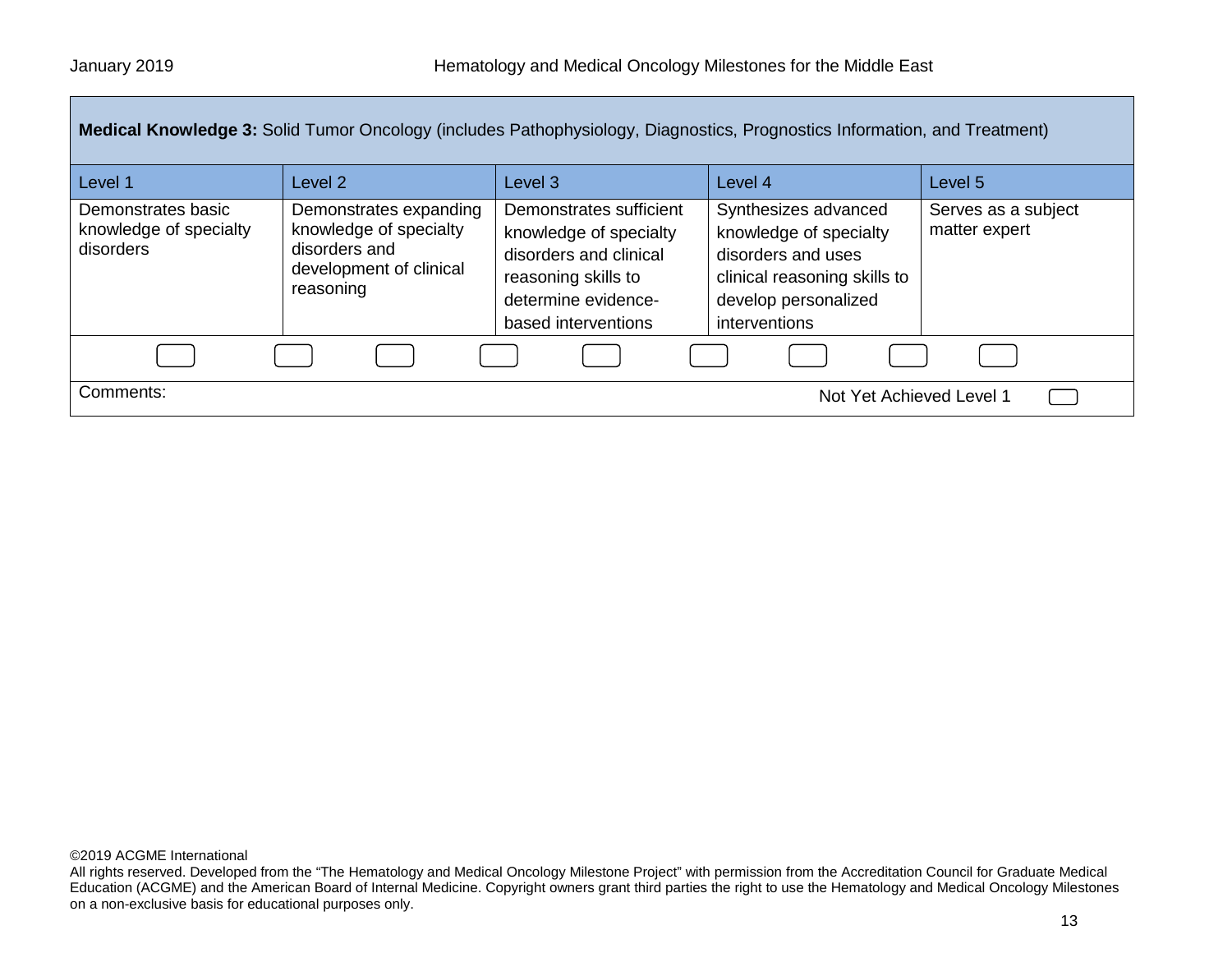| Medical Knowledge 3: Solid Tumor Oncology (includes Pathophysiology, Diagnostics, Prognostics Information, and Treatment) |                                                                                                           |                                                                                                                                                  |                                                                                                                                               |                                      |
|---------------------------------------------------------------------------------------------------------------------------|-----------------------------------------------------------------------------------------------------------|--------------------------------------------------------------------------------------------------------------------------------------------------|-----------------------------------------------------------------------------------------------------------------------------------------------|--------------------------------------|
| Level 1                                                                                                                   | Level 2                                                                                                   | Level <sub>3</sub>                                                                                                                               | Level 4                                                                                                                                       | Level <sub>5</sub>                   |
| Demonstrates basic<br>knowledge of specialty<br>disorders                                                                 | Demonstrates expanding<br>knowledge of specialty<br>disorders and<br>development of clinical<br>reasoning | Demonstrates sufficient<br>knowledge of specialty<br>disorders and clinical<br>reasoning skills to<br>determine evidence-<br>based interventions | Synthesizes advanced<br>knowledge of specialty<br>disorders and uses<br>clinical reasoning skills to<br>develop personalized<br>interventions | Serves as a subject<br>matter expert |
|                                                                                                                           |                                                                                                           |                                                                                                                                                  |                                                                                                                                               |                                      |
| Comments:                                                                                                                 |                                                                                                           |                                                                                                                                                  | Not Yet Achieved Level 1                                                                                                                      |                                      |

All rights reserved. Developed from the "The Hematology and Medical Oncology Milestone Project" with permission from the Accreditation Council for Graduate Medical Education (ACGME) and the American Board of Internal Medicine. Copyright owners grant third parties the right to use the Hematology and Medical Oncology Milestones on a non-exclusive basis for educational purposes only.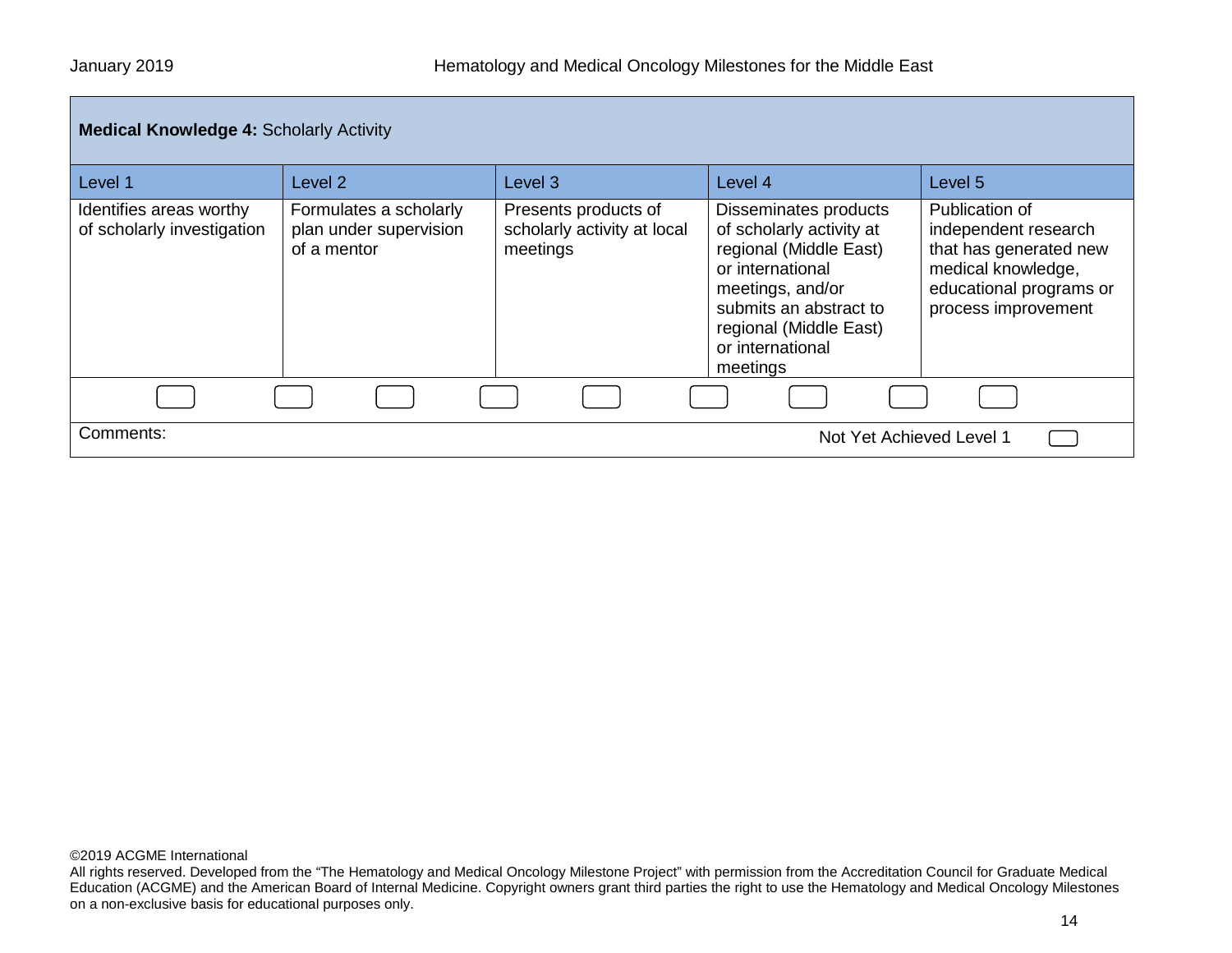| <b>Medical Knowledge 4: Scholarly Activity</b>        |                                                                 |                                                                 |                                                                                                                                                                                                         |                                                                                                                                          |
|-------------------------------------------------------|-----------------------------------------------------------------|-----------------------------------------------------------------|---------------------------------------------------------------------------------------------------------------------------------------------------------------------------------------------------------|------------------------------------------------------------------------------------------------------------------------------------------|
| Level 1                                               | Level 2                                                         | Level <sub>3</sub>                                              | Level 4                                                                                                                                                                                                 | Level 5                                                                                                                                  |
| Identifies areas worthy<br>of scholarly investigation | Formulates a scholarly<br>plan under supervision<br>of a mentor | Presents products of<br>scholarly activity at local<br>meetings | Disseminates products<br>of scholarly activity at<br>regional (Middle East)<br>or international<br>meetings, and/or<br>submits an abstract to<br>regional (Middle East)<br>or international<br>meetings | Publication of<br>independent research<br>that has generated new<br>medical knowledge,<br>educational programs or<br>process improvement |
|                                                       |                                                                 |                                                                 |                                                                                                                                                                                                         |                                                                                                                                          |
| Comments:                                             |                                                                 |                                                                 | Not Yet Achieved Level 1                                                                                                                                                                                |                                                                                                                                          |

All rights reserved. Developed from the "The Hematology and Medical Oncology Milestone Project" with permission from the Accreditation Council for Graduate Medical Education (ACGME) and the American Board of Internal Medicine. Copyright owners grant third parties the right to use the Hematology and Medical Oncology Milestones on a non-exclusive basis for educational purposes only.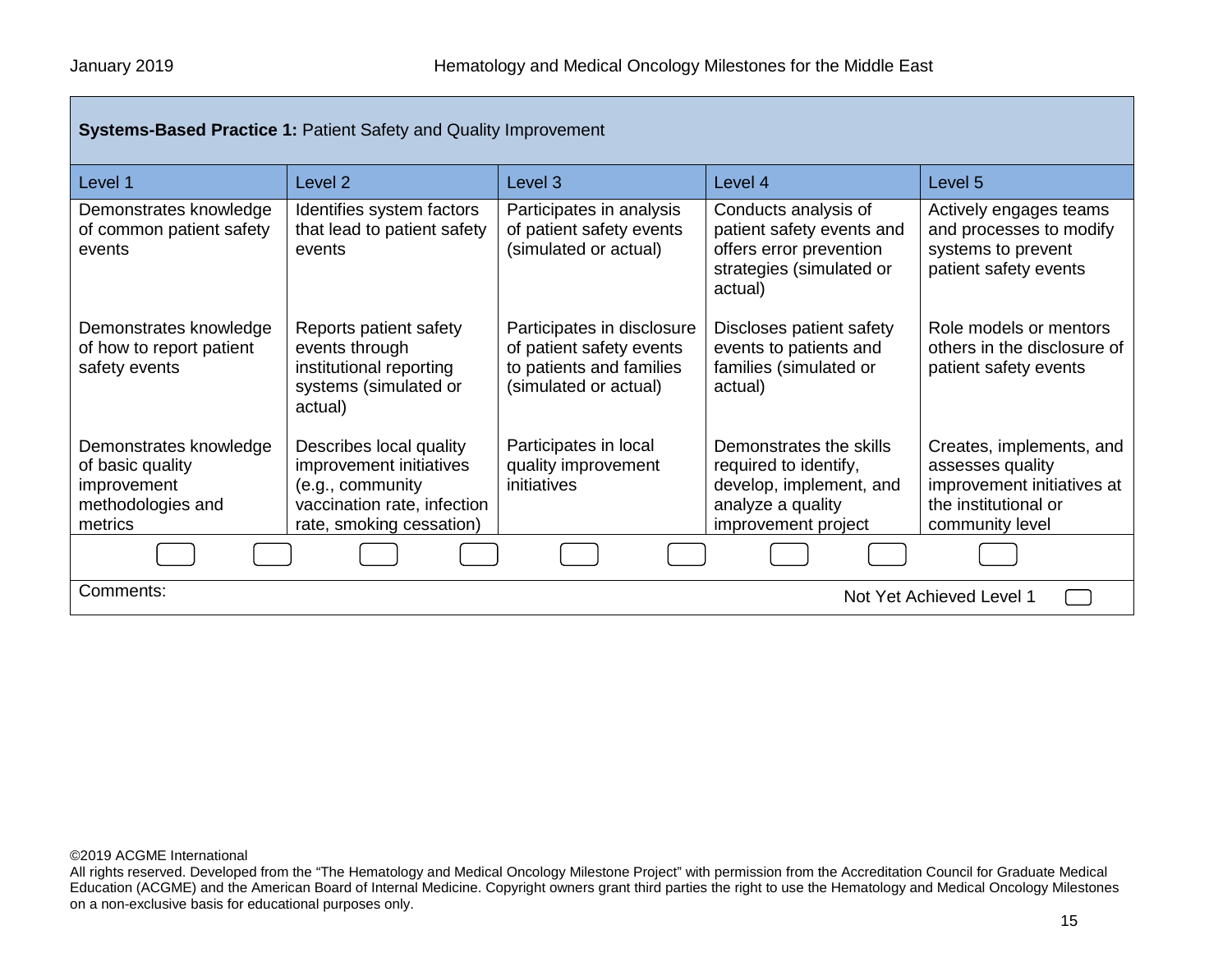| <b>Systems-Based Practice 1: Patient Safety and Quality Improvement</b>                   |                                                                                                                                   |                                                                                                             |                                                                                                                         |                                                                                                                       |
|-------------------------------------------------------------------------------------------|-----------------------------------------------------------------------------------------------------------------------------------|-------------------------------------------------------------------------------------------------------------|-------------------------------------------------------------------------------------------------------------------------|-----------------------------------------------------------------------------------------------------------------------|
| Level 1                                                                                   | Level <sub>2</sub>                                                                                                                | Level 3                                                                                                     | Level 4                                                                                                                 | Level 5                                                                                                               |
| Demonstrates knowledge<br>of common patient safety<br>events                              | Identifies system factors<br>that lead to patient safety<br>events                                                                | Participates in analysis<br>of patient safety events<br>(simulated or actual)                               | Conducts analysis of<br>patient safety events and<br>offers error prevention<br>strategies (simulated or<br>actual)     | Actively engages teams<br>and processes to modify<br>systems to prevent<br>patient safety events                      |
| Demonstrates knowledge<br>of how to report patient<br>safety events                       | Reports patient safety<br>events through<br>institutional reporting<br>systems (simulated or<br>actual)                           | Participates in disclosure<br>of patient safety events<br>to patients and families<br>(simulated or actual) | Discloses patient safety<br>events to patients and<br>families (simulated or<br>actual)                                 | Role models or mentors<br>others in the disclosure of<br>patient safety events                                        |
| Demonstrates knowledge<br>of basic quality<br>improvement<br>methodologies and<br>metrics | Describes local quality<br>improvement initiatives<br>(e.g., community<br>vaccination rate, infection<br>rate, smoking cessation) | Participates in local<br>quality improvement<br>initiatives                                                 | Demonstrates the skills<br>required to identify,<br>develop, implement, and<br>analyze a quality<br>improvement project | Creates, implements, and<br>assesses quality<br>improvement initiatives at<br>the institutional or<br>community level |
|                                                                                           |                                                                                                                                   |                                                                                                             |                                                                                                                         |                                                                                                                       |
| Comments:                                                                                 | Not Yet Achieved Level 1                                                                                                          |                                                                                                             |                                                                                                                         |                                                                                                                       |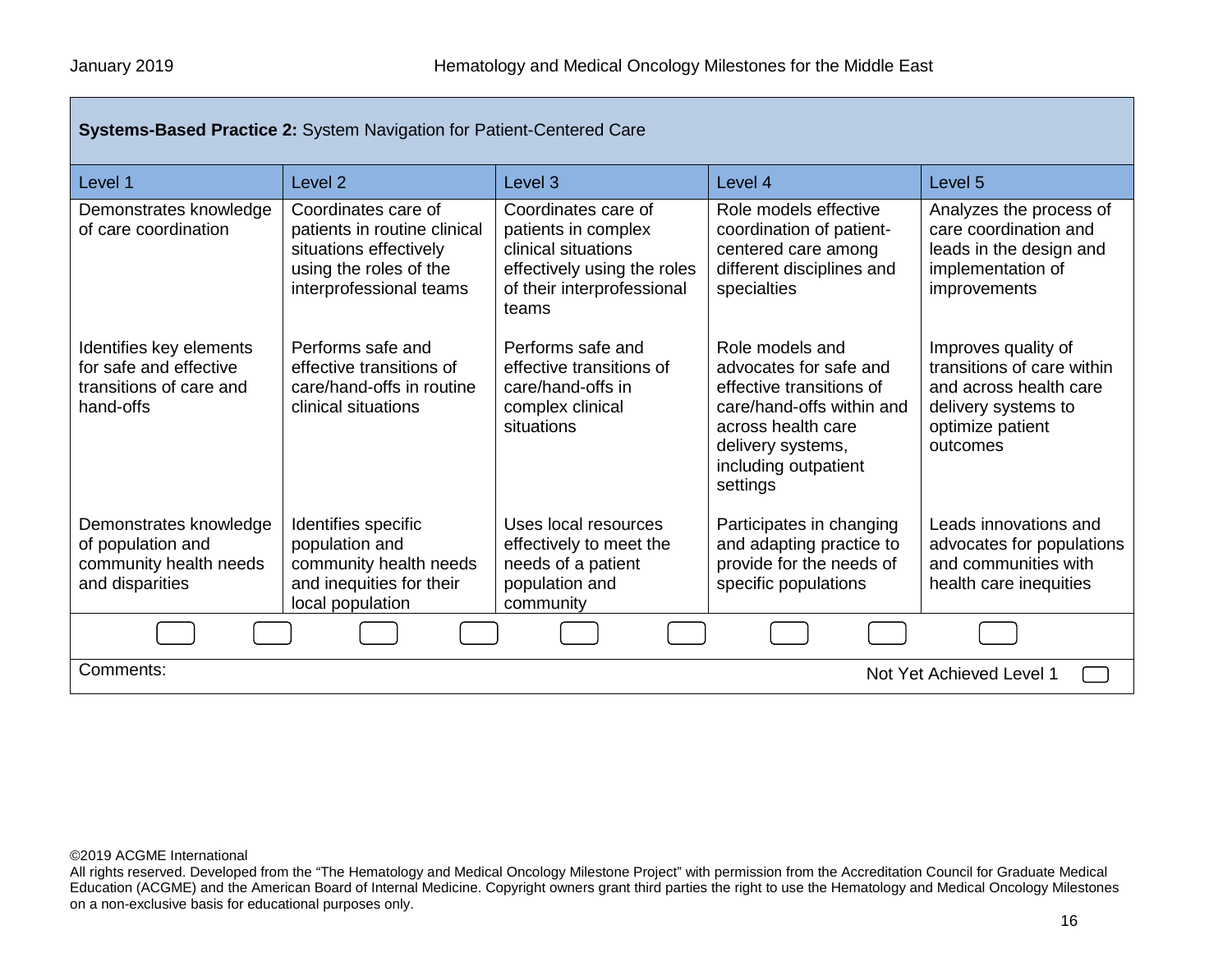| Systems-Based Practice 2: System Navigation for Patient-Centered Care                     |                                                                                                                                    |                                                                                                                                         |                                                                                                                                                                                   |                                                                                                                                    |
|-------------------------------------------------------------------------------------------|------------------------------------------------------------------------------------------------------------------------------------|-----------------------------------------------------------------------------------------------------------------------------------------|-----------------------------------------------------------------------------------------------------------------------------------------------------------------------------------|------------------------------------------------------------------------------------------------------------------------------------|
| Level 1                                                                                   | Level <sub>2</sub>                                                                                                                 | Level <sub>3</sub>                                                                                                                      | Level 4                                                                                                                                                                           | Level <sub>5</sub>                                                                                                                 |
| Demonstrates knowledge<br>of care coordination                                            | Coordinates care of<br>patients in routine clinical<br>situations effectively<br>using the roles of the<br>interprofessional teams | Coordinates care of<br>patients in complex<br>clinical situations<br>effectively using the roles<br>of their interprofessional<br>teams | Role models effective<br>coordination of patient-<br>centered care among<br>different disciplines and<br>specialties                                                              | Analyzes the process of<br>care coordination and<br>leads in the design and<br>implementation of<br>improvements                   |
| Identifies key elements<br>for safe and effective<br>transitions of care and<br>hand-offs | Performs safe and<br>effective transitions of<br>care/hand-offs in routine<br>clinical situations                                  | Performs safe and<br>effective transitions of<br>care/hand-offs in<br>complex clinical<br>situations                                    | Role models and<br>advocates for safe and<br>effective transitions of<br>care/hand-offs within and<br>across health care<br>delivery systems,<br>including outpatient<br>settings | Improves quality of<br>transitions of care within<br>and across health care<br>delivery systems to<br>optimize patient<br>outcomes |
| Demonstrates knowledge<br>of population and<br>community health needs<br>and disparities  | Identifies specific<br>population and<br>community health needs<br>and inequities for their<br>local population                    | Uses local resources<br>effectively to meet the<br>needs of a patient<br>population and<br>community                                    | Participates in changing<br>and adapting practice to<br>provide for the needs of<br>specific populations                                                                          | Leads innovations and<br>advocates for populations<br>and communities with<br>health care inequities                               |
|                                                                                           |                                                                                                                                    |                                                                                                                                         |                                                                                                                                                                                   |                                                                                                                                    |
| Comments:<br>Not Yet Achieved Level 1                                                     |                                                                                                                                    |                                                                                                                                         |                                                                                                                                                                                   |                                                                                                                                    |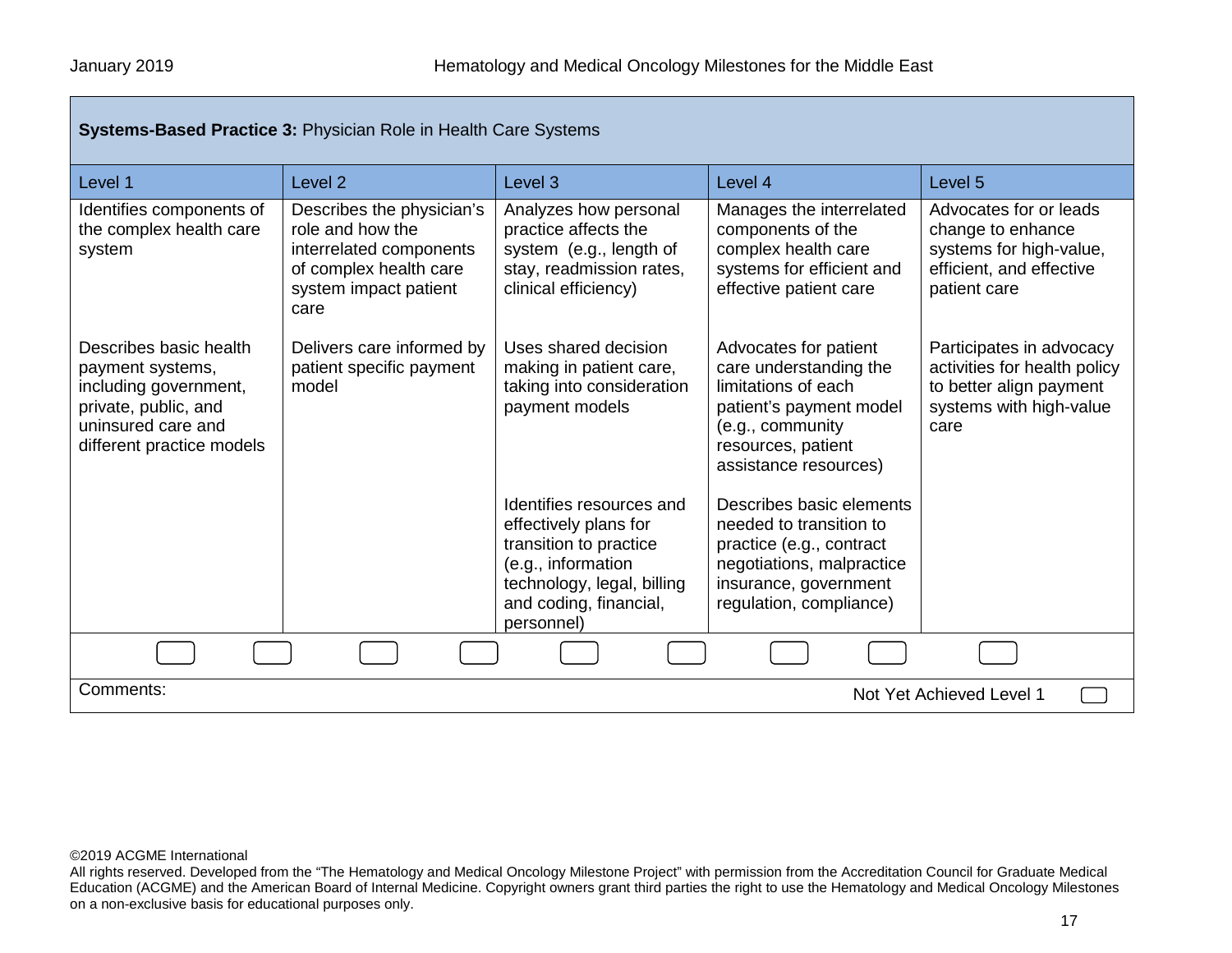| <b>Systems-Based Practice 3: Physician Role in Health Care Systems</b>                                                                         |                                                                                                                                     |                                                                                                                                                                         |                                                                                                                                                                      |                                                                                                                        |
|------------------------------------------------------------------------------------------------------------------------------------------------|-------------------------------------------------------------------------------------------------------------------------------------|-------------------------------------------------------------------------------------------------------------------------------------------------------------------------|----------------------------------------------------------------------------------------------------------------------------------------------------------------------|------------------------------------------------------------------------------------------------------------------------|
| Level 1                                                                                                                                        | Level <sub>2</sub>                                                                                                                  | Level <sub>3</sub>                                                                                                                                                      | Level 4                                                                                                                                                              | Level 5                                                                                                                |
| Identifies components of<br>the complex health care<br>system                                                                                  | Describes the physician's<br>role and how the<br>interrelated components<br>of complex health care<br>system impact patient<br>care | Analyzes how personal<br>practice affects the<br>system (e.g., length of<br>stay, readmission rates,<br>clinical efficiency)                                            | Manages the interrelated<br>components of the<br>complex health care<br>systems for efficient and<br>effective patient care                                          | Advocates for or leads<br>change to enhance<br>systems for high-value,<br>efficient, and effective<br>patient care     |
| Describes basic health<br>payment systems,<br>including government,<br>private, public, and<br>uninsured care and<br>different practice models | Delivers care informed by<br>patient specific payment<br>model                                                                      | Uses shared decision<br>making in patient care,<br>taking into consideration<br>payment models                                                                          | Advocates for patient<br>care understanding the<br>limitations of each<br>patient's payment model<br>(e.g., community<br>resources, patient<br>assistance resources) | Participates in advocacy<br>activities for health policy<br>to better align payment<br>systems with high-value<br>care |
|                                                                                                                                                |                                                                                                                                     | Identifies resources and<br>effectively plans for<br>transition to practice<br>(e.g., information<br>technology, legal, billing<br>and coding, financial,<br>personnel) | Describes basic elements<br>needed to transition to<br>practice (e.g., contract<br>negotiations, malpractice<br>insurance, government<br>regulation, compliance)     |                                                                                                                        |
|                                                                                                                                                |                                                                                                                                     |                                                                                                                                                                         |                                                                                                                                                                      |                                                                                                                        |
| Comments:<br>Not Yet Achieved Level 1                                                                                                          |                                                                                                                                     |                                                                                                                                                                         |                                                                                                                                                                      |                                                                                                                        |

All rights reserved. Developed from the "The Hematology and Medical Oncology Milestone Project" with permission from the Accreditation Council for Graduate Medical Education (ACGME) and the American Board of Internal Medicine. Copyright owners grant third parties the right to use the Hematology and Medical Oncology Milestones on a non-exclusive basis for educational purposes only.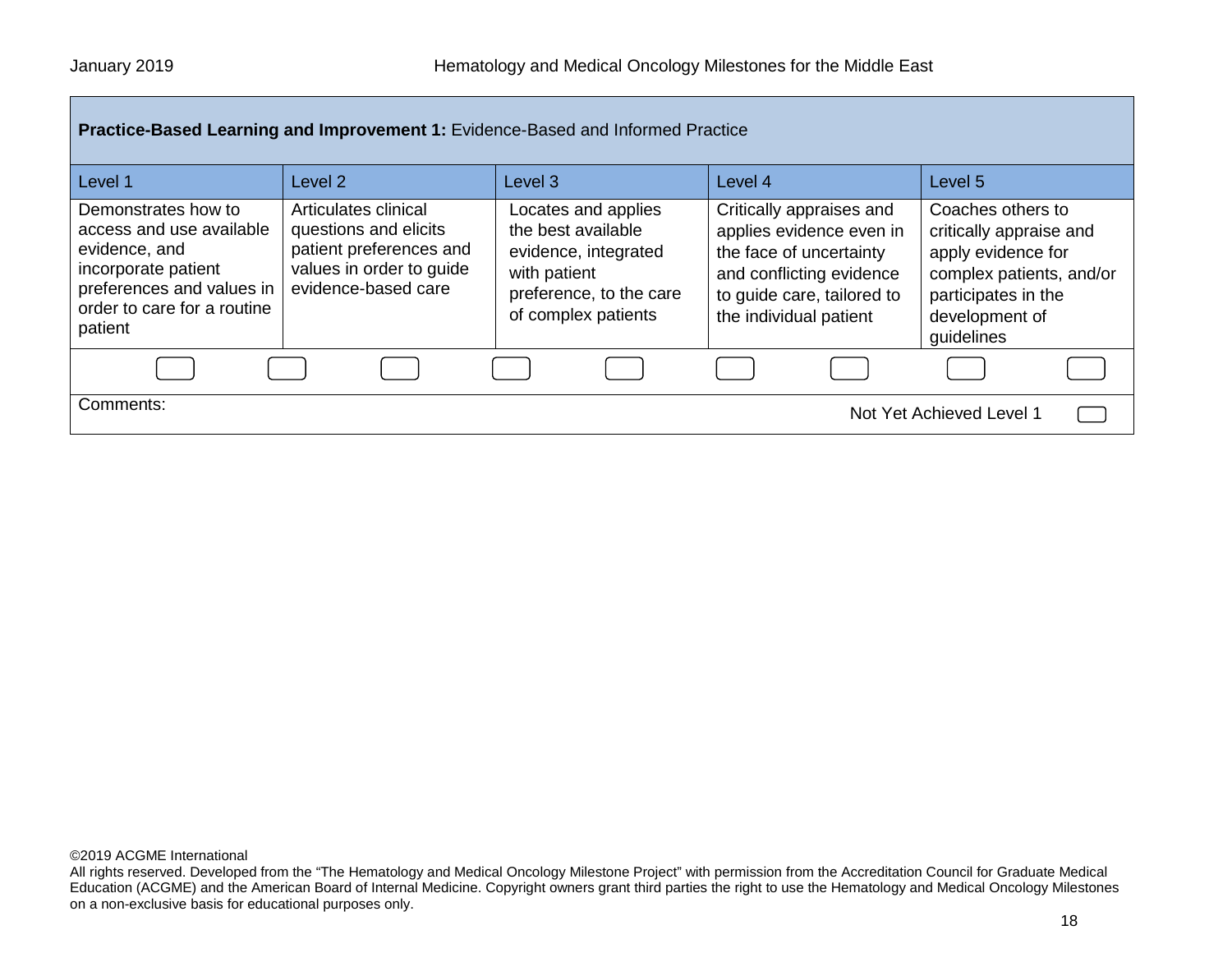| Practice-Based Learning and Improvement 1: Evidence-Based and Informed Practice                                                                                |                                                                                                                             |                                                                                                                                     |                                                                                                                                                                     |                                                                                                                                                       |  |
|----------------------------------------------------------------------------------------------------------------------------------------------------------------|-----------------------------------------------------------------------------------------------------------------------------|-------------------------------------------------------------------------------------------------------------------------------------|---------------------------------------------------------------------------------------------------------------------------------------------------------------------|-------------------------------------------------------------------------------------------------------------------------------------------------------|--|
| Level 1                                                                                                                                                        | Level 2                                                                                                                     | Level <sub>3</sub>                                                                                                                  | Level 4                                                                                                                                                             | Level <sub>5</sub>                                                                                                                                    |  |
| Demonstrates how to<br>access and use available<br>evidence, and<br>incorporate patient<br>preferences and values in<br>order to care for a routine<br>patient | Articulates clinical<br>questions and elicits<br>patient preferences and<br>values in order to guide<br>evidence-based care | Locates and applies<br>the best available<br>evidence, integrated<br>with patient<br>preference, to the care<br>of complex patients | Critically appraises and<br>applies evidence even in<br>the face of uncertainty<br>and conflicting evidence<br>to guide care, tailored to<br>the individual patient | Coaches others to<br>critically appraise and<br>apply evidence for<br>complex patients, and/or<br>participates in the<br>development of<br>guidelines |  |
|                                                                                                                                                                |                                                                                                                             |                                                                                                                                     |                                                                                                                                                                     |                                                                                                                                                       |  |
| Comments:<br>Not Yet Achieved Level 1                                                                                                                          |                                                                                                                             |                                                                                                                                     |                                                                                                                                                                     |                                                                                                                                                       |  |

All rights reserved. Developed from the "The Hematology and Medical Oncology Milestone Project" with permission from the Accreditation Council for Graduate Medical Education (ACGME) and the American Board of Internal Medicine. Copyright owners grant third parties the right to use the Hematology and Medical Oncology Milestones on a non-exclusive basis for educational purposes only.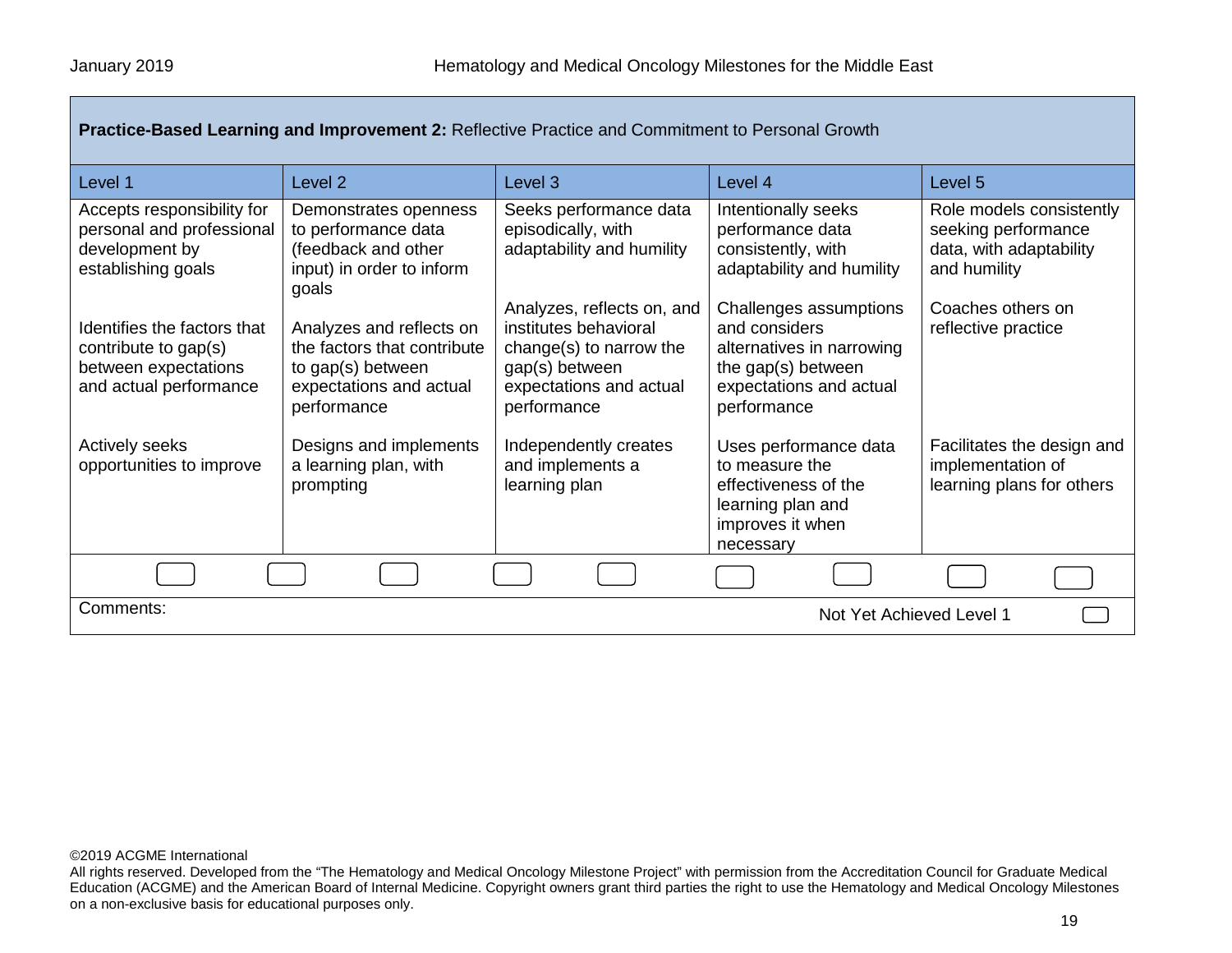| Practice-Based Learning and Improvement 2: Reflective Practice and Commitment to Personal Growth      |                                                                                                                        |                                                                                                                                            |                                                                                                                                      |                                                                                            |
|-------------------------------------------------------------------------------------------------------|------------------------------------------------------------------------------------------------------------------------|--------------------------------------------------------------------------------------------------------------------------------------------|--------------------------------------------------------------------------------------------------------------------------------------|--------------------------------------------------------------------------------------------|
| Level 1                                                                                               | Level <sub>2</sub>                                                                                                     | Level 3                                                                                                                                    | Level 4                                                                                                                              | Level 5                                                                                    |
| Accepts responsibility for<br>personal and professional<br>development by<br>establishing goals       | Demonstrates openness<br>to performance data<br>(feedback and other<br>input) in order to inform<br>goals              | Seeks performance data<br>episodically, with<br>adaptability and humility                                                                  | Intentionally seeks<br>performance data<br>consistently, with<br>adaptability and humility                                           | Role models consistently<br>seeking performance<br>data, with adaptability<br>and humility |
| Identifies the factors that<br>contribute to gap(s)<br>between expectations<br>and actual performance | Analyzes and reflects on<br>the factors that contribute<br>to gap(s) between<br>expectations and actual<br>performance | Analyzes, reflects on, and<br>institutes behavioral<br>change(s) to narrow the<br>gap(s) between<br>expectations and actual<br>performance | Challenges assumptions<br>and considers<br>alternatives in narrowing<br>the gap(s) between<br>expectations and actual<br>performance | Coaches others on<br>reflective practice                                                   |
| <b>Actively seeks</b><br>opportunities to improve                                                     | Designs and implements<br>a learning plan, with<br>prompting                                                           | Independently creates<br>and implements a<br>learning plan                                                                                 | Uses performance data<br>to measure the<br>effectiveness of the<br>learning plan and<br>improves it when<br>necessary                | Facilitates the design and<br>implementation of<br>learning plans for others               |
|                                                                                                       |                                                                                                                        |                                                                                                                                            |                                                                                                                                      |                                                                                            |
| Comments:<br>Not Yet Achieved Level 1                                                                 |                                                                                                                        |                                                                                                                                            |                                                                                                                                      |                                                                                            |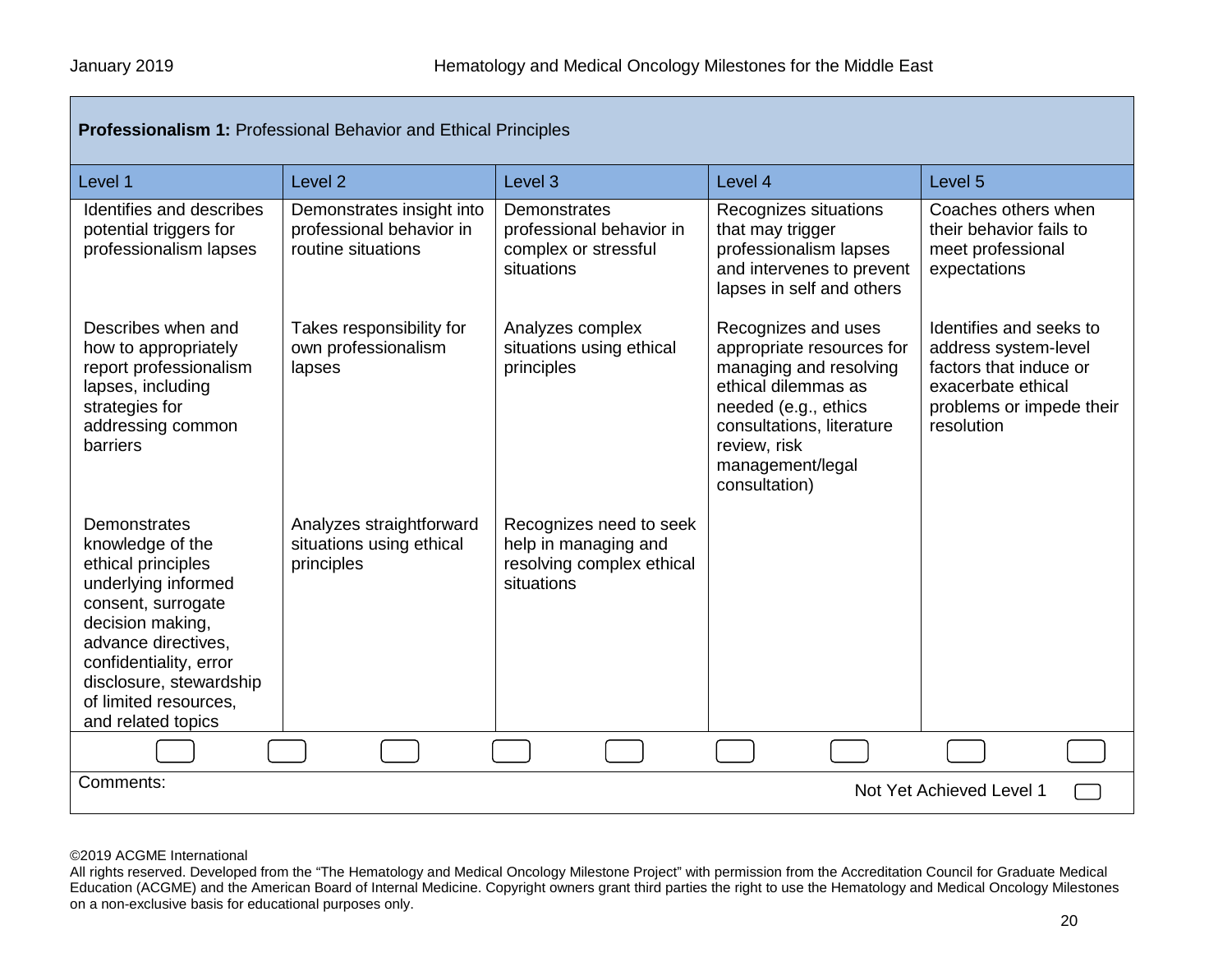| <b>Professionalism 1: Professional Behavior and Ethical Principles</b>                                                                                                                                                                             |                                                                             |                                                                                            |                                                                                                                                                                                                             |                                                                                                                                           |  |
|----------------------------------------------------------------------------------------------------------------------------------------------------------------------------------------------------------------------------------------------------|-----------------------------------------------------------------------------|--------------------------------------------------------------------------------------------|-------------------------------------------------------------------------------------------------------------------------------------------------------------------------------------------------------------|-------------------------------------------------------------------------------------------------------------------------------------------|--|
| Level 1                                                                                                                                                                                                                                            | Level <sub>2</sub>                                                          | Level <sub>3</sub>                                                                         | Level 4                                                                                                                                                                                                     | Level 5                                                                                                                                   |  |
| Identifies and describes<br>potential triggers for<br>professionalism lapses                                                                                                                                                                       | Demonstrates insight into<br>professional behavior in<br>routine situations | Demonstrates<br>professional behavior in<br>complex or stressful<br>situations             | Recognizes situations<br>that may trigger<br>professionalism lapses<br>and intervenes to prevent<br>lapses in self and others                                                                               | Coaches others when<br>their behavior fails to<br>meet professional<br>expectations                                                       |  |
| Describes when and<br>how to appropriately<br>report professionalism<br>lapses, including<br>strategies for<br>addressing common<br>barriers                                                                                                       | Takes responsibility for<br>own professionalism<br>lapses                   | Analyzes complex<br>situations using ethical<br>principles                                 | Recognizes and uses<br>appropriate resources for<br>managing and resolving<br>ethical dilemmas as<br>needed (e.g., ethics<br>consultations, literature<br>review, risk<br>management/legal<br>consultation) | Identifies and seeks to<br>address system-level<br>factors that induce or<br>exacerbate ethical<br>problems or impede their<br>resolution |  |
| Demonstrates<br>knowledge of the<br>ethical principles<br>underlying informed<br>consent, surrogate<br>decision making,<br>advance directives,<br>confidentiality, error<br>disclosure, stewardship<br>of limited resources.<br>and related topics | Analyzes straightforward<br>situations using ethical<br>principles          | Recognizes need to seek<br>help in managing and<br>resolving complex ethical<br>situations |                                                                                                                                                                                                             |                                                                                                                                           |  |
|                                                                                                                                                                                                                                                    |                                                                             |                                                                                            |                                                                                                                                                                                                             |                                                                                                                                           |  |
| Comments:<br>Not Yet Achieved Level 1                                                                                                                                                                                                              |                                                                             |                                                                                            |                                                                                                                                                                                                             |                                                                                                                                           |  |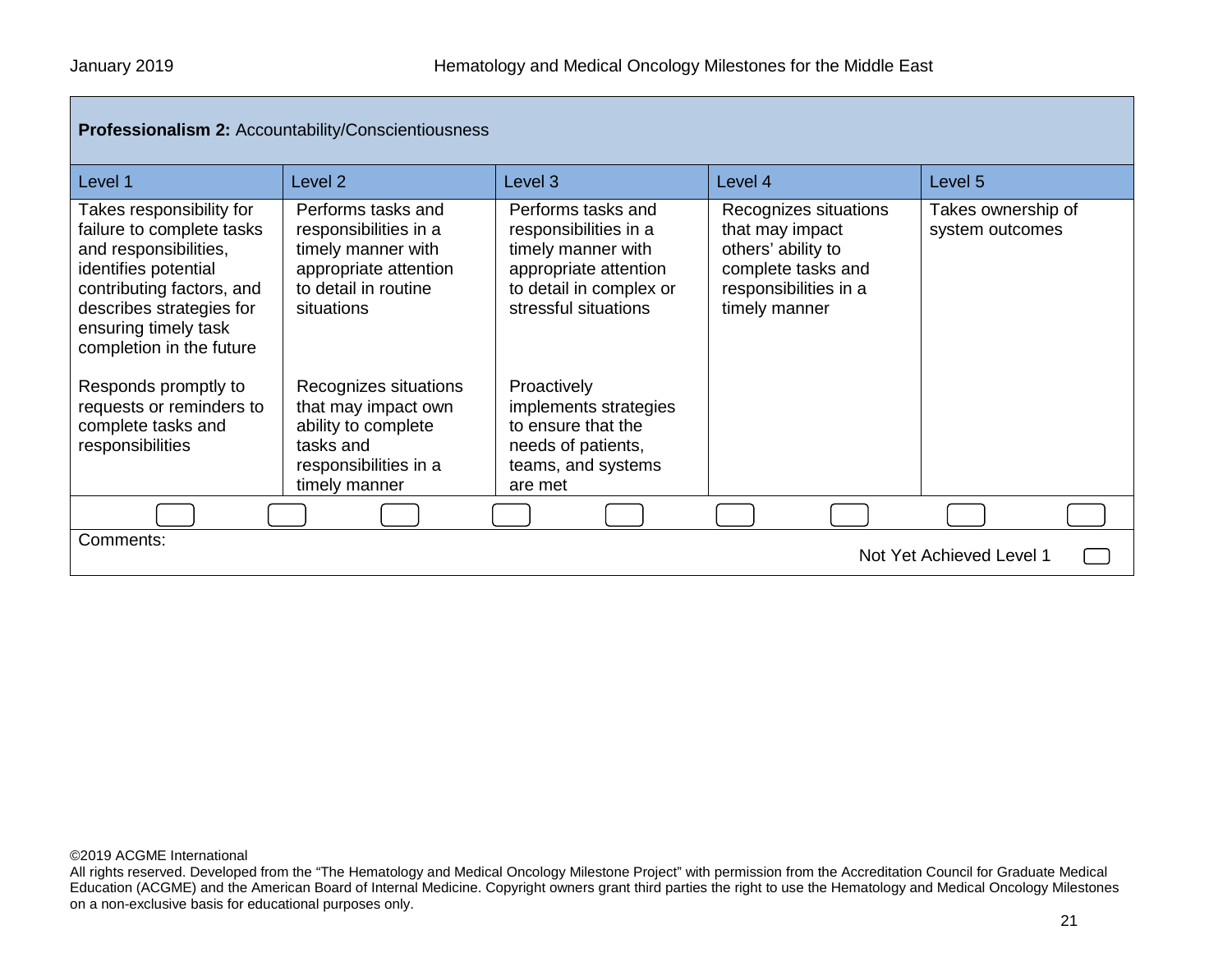| <b>Professionalism 2: Accountability/Conscientiousness/</b> |  |
|-------------------------------------------------------------|--|
|-------------------------------------------------------------|--|

| Level 1                                                                                                                                                                                                             | Level <sub>2</sub>                                                                                                               | Level <sub>3</sub>                                                                                                                            | Level 4                                                                                                                        | Level <sub>5</sub>                    |
|---------------------------------------------------------------------------------------------------------------------------------------------------------------------------------------------------------------------|----------------------------------------------------------------------------------------------------------------------------------|-----------------------------------------------------------------------------------------------------------------------------------------------|--------------------------------------------------------------------------------------------------------------------------------|---------------------------------------|
| Takes responsibility for<br>failure to complete tasks<br>and responsibilities,<br>identifies potential<br>contributing factors, and<br>describes strategies for<br>ensuring timely task<br>completion in the future | Performs tasks and<br>responsibilities in a<br>timely manner with<br>appropriate attention<br>to detail in routine<br>situations | Performs tasks and<br>responsibilities in a<br>timely manner with<br>appropriate attention<br>to detail in complex or<br>stressful situations | Recognizes situations<br>that may impact<br>others' ability to<br>complete tasks and<br>responsibilities in a<br>timely manner | Takes ownership of<br>system outcomes |
| Responds promptly to<br>requests or reminders to<br>complete tasks and<br>responsibilities                                                                                                                          | Recognizes situations<br>that may impact own<br>ability to complete<br>tasks and<br>responsibilities in a<br>timely manner       | Proactively<br>implements strategies<br>to ensure that the<br>needs of patients,<br>teams, and systems<br>are met                             |                                                                                                                                |                                       |
|                                                                                                                                                                                                                     |                                                                                                                                  |                                                                                                                                               |                                                                                                                                |                                       |
| Comments:<br>Not Yet Achieved Level 1                                                                                                                                                                               |                                                                                                                                  |                                                                                                                                               |                                                                                                                                |                                       |

All rights reserved. Developed from the "The Hematology and Medical Oncology Milestone Project" with permission from the Accreditation Council for Graduate Medical Education (ACGME) and the American Board of Internal Medicine. Copyright owners grant third parties the right to use the Hematology and Medical Oncology Milestones on a non-exclusive basis for educational purposes only.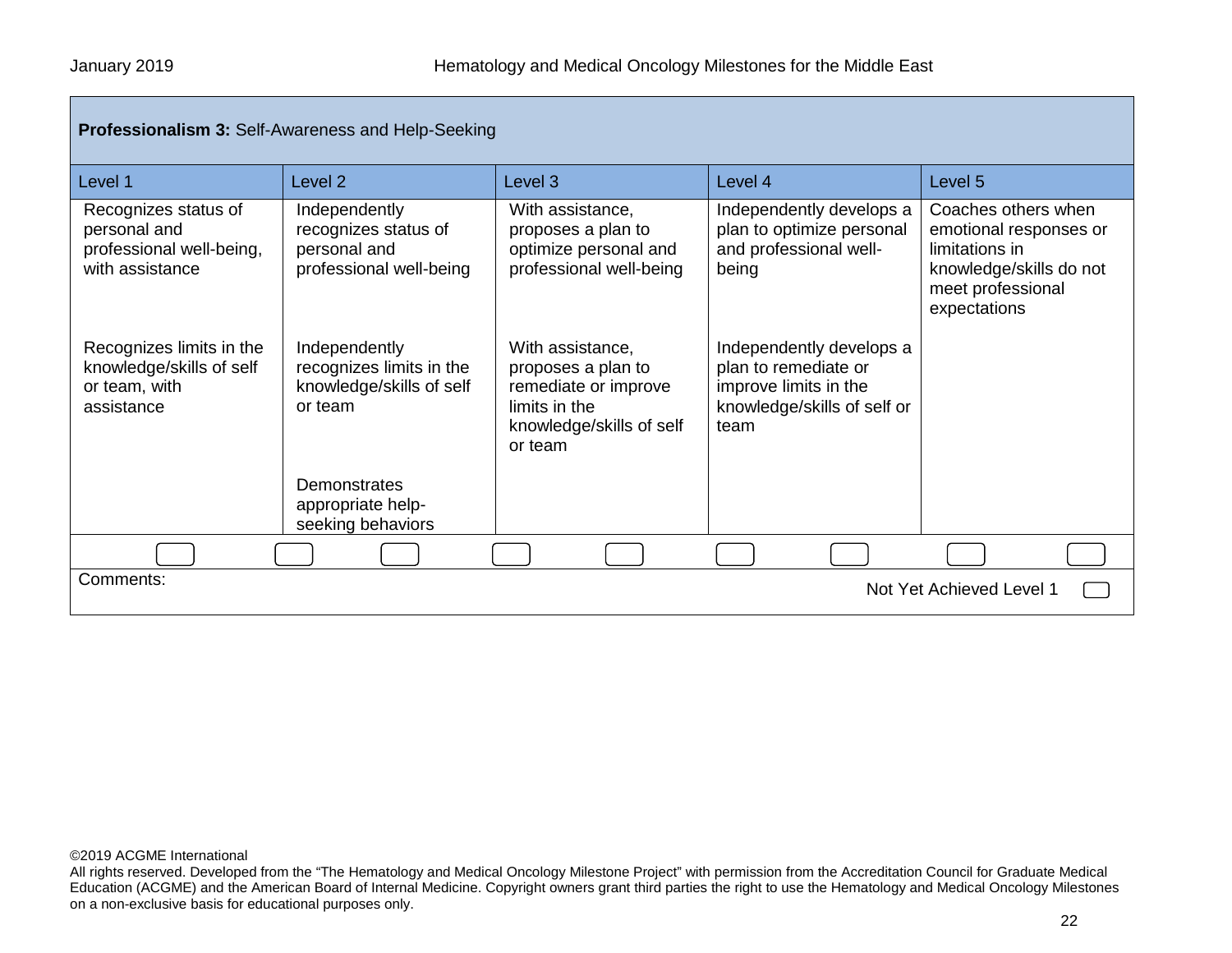| Professionalism 3: Self-Awareness and Help-Seeking                                  |                                                                                  |                                                                                                                        |                                                                                                                  |                                                                                                                                 |  |
|-------------------------------------------------------------------------------------|----------------------------------------------------------------------------------|------------------------------------------------------------------------------------------------------------------------|------------------------------------------------------------------------------------------------------------------|---------------------------------------------------------------------------------------------------------------------------------|--|
| Level 1                                                                             | Level <sub>2</sub>                                                               | Level <sub>3</sub>                                                                                                     | Level 4                                                                                                          | Level 5                                                                                                                         |  |
| Recognizes status of<br>personal and<br>professional well-being,<br>with assistance | Independently<br>recognizes status of<br>personal and<br>professional well-being | With assistance,<br>proposes a plan to<br>optimize personal and<br>professional well-being                             | Independently develops a<br>plan to optimize personal<br>and professional well-<br>being                         | Coaches others when<br>emotional responses or<br>limitations in<br>knowledge/skills do not<br>meet professional<br>expectations |  |
| Recognizes limits in the<br>knowledge/skills of self<br>or team, with<br>assistance | Independently<br>recognizes limits in the<br>knowledge/skills of self<br>or team | With assistance,<br>proposes a plan to<br>remediate or improve<br>limits in the<br>knowledge/skills of self<br>or team | Independently develops a<br>plan to remediate or<br>improve limits in the<br>knowledge/skills of self or<br>team |                                                                                                                                 |  |
|                                                                                     | Demonstrates<br>appropriate help-<br>seeking behaviors                           |                                                                                                                        |                                                                                                                  |                                                                                                                                 |  |
|                                                                                     |                                                                                  |                                                                                                                        |                                                                                                                  |                                                                                                                                 |  |
| Comments:<br>Not Yet Achieved Level 1                                               |                                                                                  |                                                                                                                        |                                                                                                                  |                                                                                                                                 |  |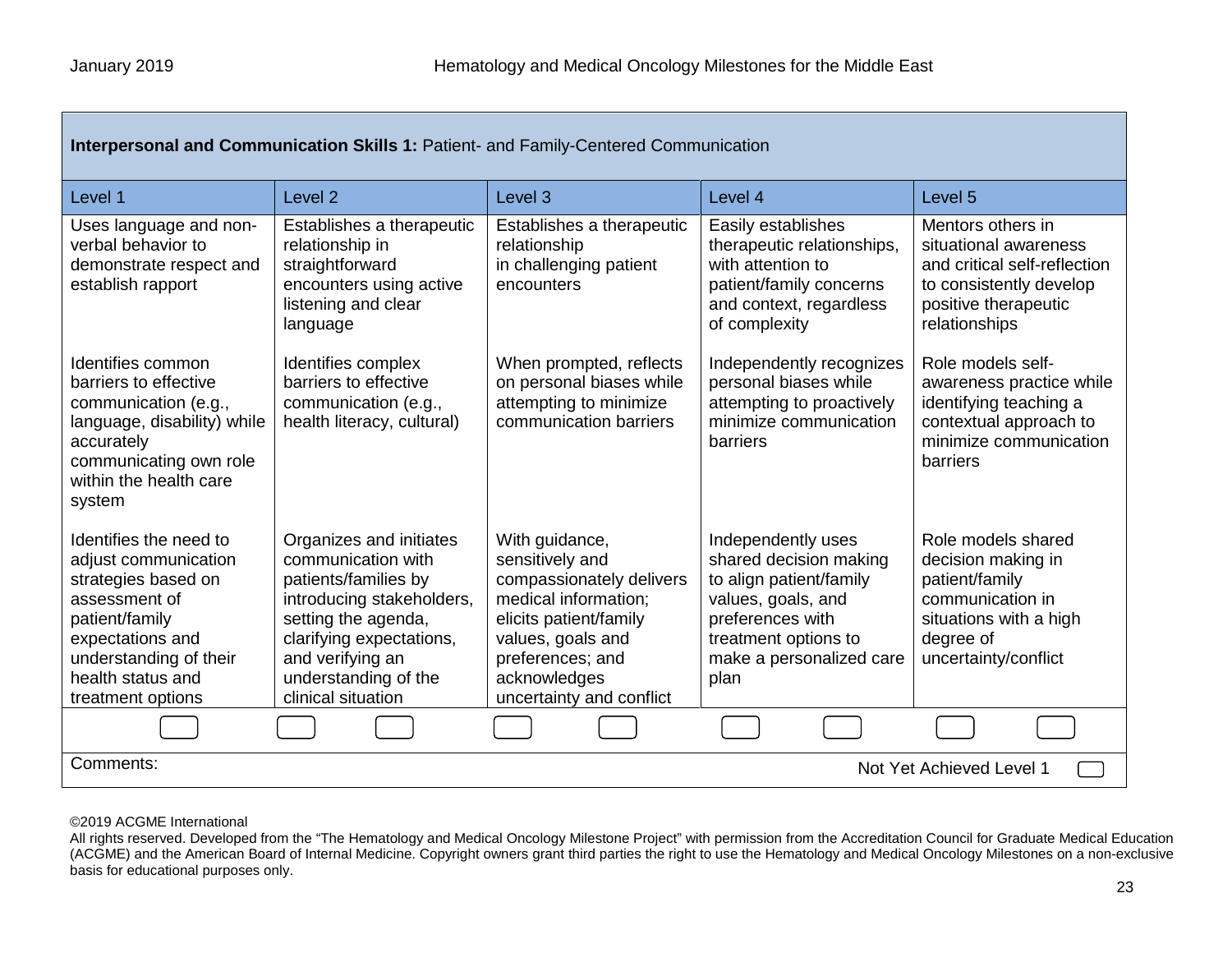| Interpersonal and Communication Skills 1: Patient- and Family-Centered Communication                                                                                                             |                                                                                                                                                                                                                         |                                                                                                                                                                                                      |                                                                                                                                                                               |                                                                                                                                                |
|--------------------------------------------------------------------------------------------------------------------------------------------------------------------------------------------------|-------------------------------------------------------------------------------------------------------------------------------------------------------------------------------------------------------------------------|------------------------------------------------------------------------------------------------------------------------------------------------------------------------------------------------------|-------------------------------------------------------------------------------------------------------------------------------------------------------------------------------|------------------------------------------------------------------------------------------------------------------------------------------------|
| Level 1                                                                                                                                                                                          | Level <sub>2</sub>                                                                                                                                                                                                      | Level <sub>3</sub>                                                                                                                                                                                   | Level 4                                                                                                                                                                       | Level <sub>5</sub>                                                                                                                             |
| Uses language and non-<br>verbal behavior to<br>demonstrate respect and<br>establish rapport                                                                                                     | Establishes a therapeutic<br>relationship in<br>straightforward<br>encounters using active<br>listening and clear<br>language                                                                                           | Establishes a therapeutic<br>relationship<br>in challenging patient<br>encounters                                                                                                                    | Easily establishes<br>therapeutic relationships,<br>with attention to<br>patient/family concerns<br>and context, regardless<br>of complexity                                  | Mentors others in<br>situational awareness<br>and critical self-reflection<br>to consistently develop<br>positive therapeutic<br>relationships |
| Identifies common<br>barriers to effective<br>communication (e.g.,<br>language, disability) while<br>accurately<br>communicating own role<br>within the health care<br>system                    | Identifies complex<br>barriers to effective<br>communication (e.g.,<br>health literacy, cultural)                                                                                                                       | When prompted, reflects<br>on personal biases while<br>attempting to minimize<br>communication barriers                                                                                              | Independently recognizes<br>personal biases while<br>attempting to proactively<br>minimize communication<br>barriers                                                          | Role models self-<br>awareness practice while<br>identifying teaching a<br>contextual approach to<br>minimize communication<br><b>barriers</b> |
| Identifies the need to<br>adjust communication<br>strategies based on<br>assessment of<br>patient/family<br>expectations and<br>understanding of their<br>health status and<br>treatment options | Organizes and initiates<br>communication with<br>patients/families by<br>introducing stakeholders,<br>setting the agenda,<br>clarifying expectations,<br>and verifying an<br>understanding of the<br>clinical situation | With guidance,<br>sensitively and<br>compassionately delivers<br>medical information;<br>elicits patient/family<br>values, goals and<br>preferences; and<br>acknowledges<br>uncertainty and conflict | Independently uses<br>shared decision making<br>to align patient/family<br>values, goals, and<br>preferences with<br>treatment options to<br>make a personalized care<br>plan | Role models shared<br>decision making in<br>patient/family<br>communication in<br>situations with a high<br>degree of<br>uncertainty/conflict  |
|                                                                                                                                                                                                  |                                                                                                                                                                                                                         |                                                                                                                                                                                                      |                                                                                                                                                                               |                                                                                                                                                |
| Comments:<br>Not Yet Achieved Level 1                                                                                                                                                            |                                                                                                                                                                                                                         |                                                                                                                                                                                                      |                                                                                                                                                                               |                                                                                                                                                |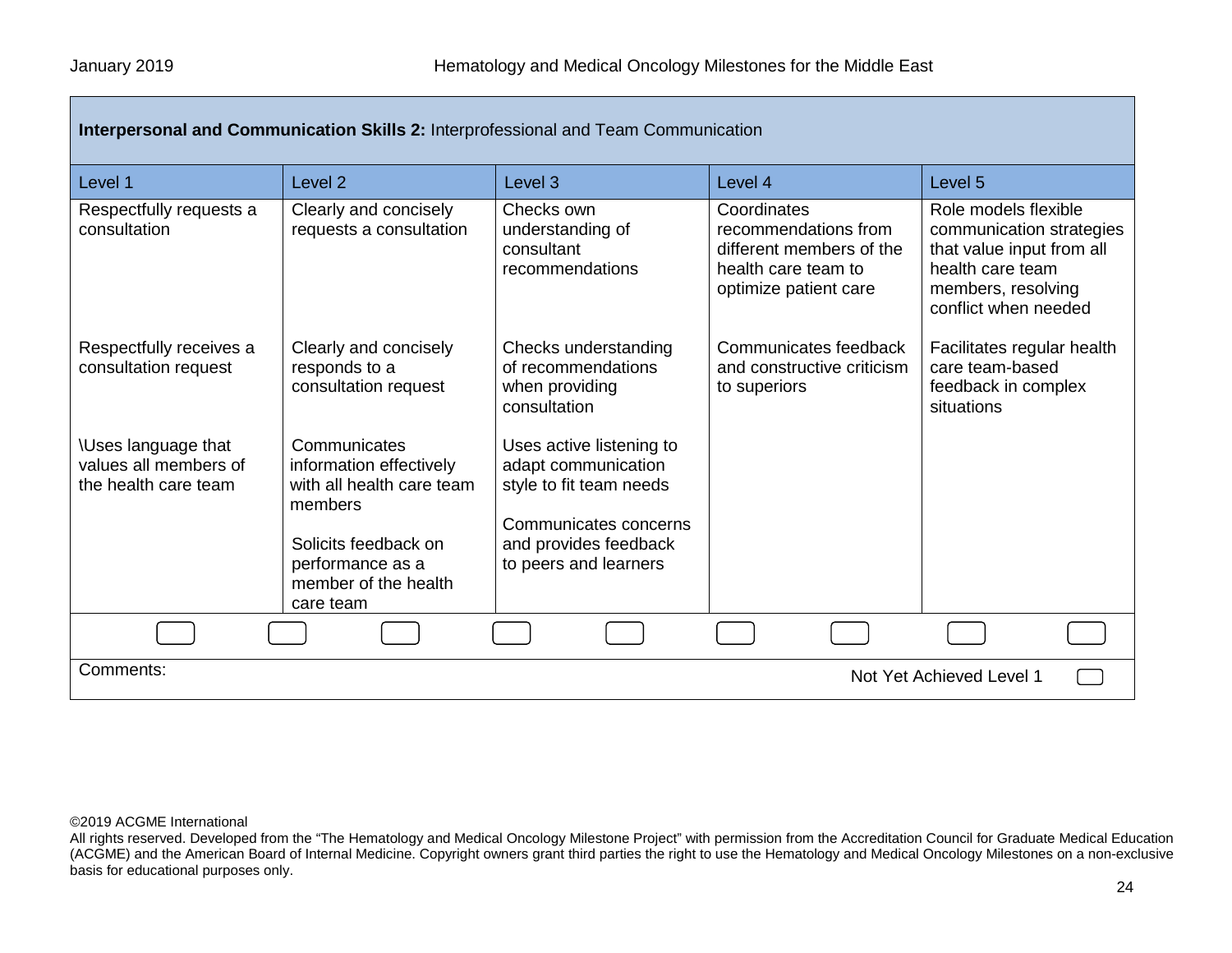| Interpersonal and Communication Skills 2: Interprofessional and Team Communication |                                                                                                                                                                  |                                                                                                                                                       |                                                                                                                 |                                                                                                                                                 |
|------------------------------------------------------------------------------------|------------------------------------------------------------------------------------------------------------------------------------------------------------------|-------------------------------------------------------------------------------------------------------------------------------------------------------|-----------------------------------------------------------------------------------------------------------------|-------------------------------------------------------------------------------------------------------------------------------------------------|
| Level 1                                                                            | Level <sub>2</sub>                                                                                                                                               | Level <sub>3</sub>                                                                                                                                    | Level 4                                                                                                         | Level <sub>5</sub>                                                                                                                              |
| Respectfully requests a<br>consultation                                            | Clearly and concisely<br>requests a consultation                                                                                                                 | Checks own<br>understanding of<br>consultant<br>recommendations                                                                                       | Coordinates<br>recommendations from<br>different members of the<br>health care team to<br>optimize patient care | Role models flexible<br>communication strategies<br>that value input from all<br>health care team<br>members, resolving<br>conflict when needed |
| Respectfully receives a<br>consultation request                                    | Clearly and concisely<br>responds to a<br>consultation request                                                                                                   | Checks understanding<br>of recommendations<br>when providing<br>consultation                                                                          | Communicates feedback<br>and constructive criticism<br>to superiors                                             | Facilitates regular health<br>care team-based<br>feedback in complex<br>situations                                                              |
| <b>\Uses language that</b><br>values all members of<br>the health care team        | Communicates<br>information effectively<br>with all health care team<br>members<br>Solicits feedback on<br>performance as a<br>member of the health<br>care team | Uses active listening to<br>adapt communication<br>style to fit team needs<br>Communicates concerns<br>and provides feedback<br>to peers and learners |                                                                                                                 |                                                                                                                                                 |
|                                                                                    |                                                                                                                                                                  |                                                                                                                                                       |                                                                                                                 |                                                                                                                                                 |
| Comments:<br>Not Yet Achieved Level 1                                              |                                                                                                                                                                  |                                                                                                                                                       |                                                                                                                 |                                                                                                                                                 |